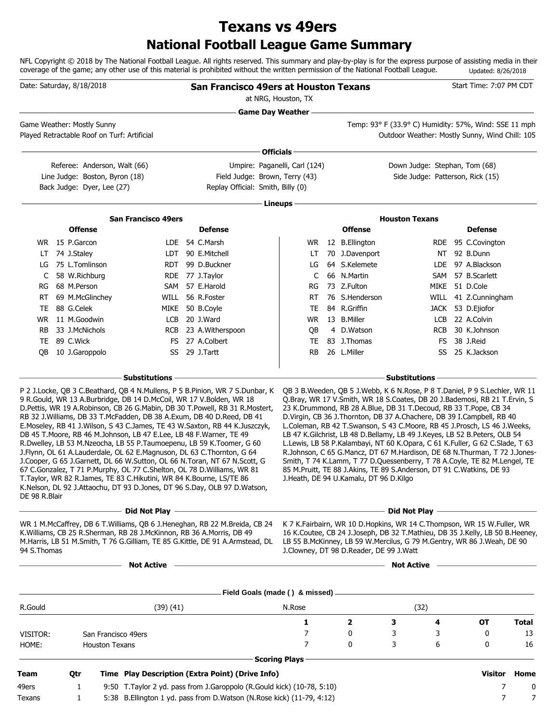# **National Football League Game Summary Texans vs 49ers**

NFL Copyright © 2018 by The National Football League. All rights reserved. This summary and play-by-play is for the express purpose of assisting media in their coverage of the game; any other use of this material is prohibited without the written permission of the National Football League. Updated: 8/26/2018

|               | Date: Saturday, 8/18/2018                                                                                                                                                                                                                                                                                                                                                                                                                                                                                                                                                                                                                                                                                                                                                                                                                                        |              | <b>San Francisco 49ers at Houston Texans</b>                              | at NRG, Houston, TX                                             |                                         |                                                                                                                                                                                                                                                                                                                                                                                                                                                                                                                                                                                                                                                                                                       | Start Time: 7:07 PM CDT |              |
|---------------|------------------------------------------------------------------------------------------------------------------------------------------------------------------------------------------------------------------------------------------------------------------------------------------------------------------------------------------------------------------------------------------------------------------------------------------------------------------------------------------------------------------------------------------------------------------------------------------------------------------------------------------------------------------------------------------------------------------------------------------------------------------------------------------------------------------------------------------------------------------|--------------|---------------------------------------------------------------------------|-----------------------------------------------------------------|-----------------------------------------|-------------------------------------------------------------------------------------------------------------------------------------------------------------------------------------------------------------------------------------------------------------------------------------------------------------------------------------------------------------------------------------------------------------------------------------------------------------------------------------------------------------------------------------------------------------------------------------------------------------------------------------------------------------------------------------------------------|-------------------------|--------------|
|               |                                                                                                                                                                                                                                                                                                                                                                                                                                                                                                                                                                                                                                                                                                                                                                                                                                                                  |              |                                                                           | <b>Game Day Weather</b>                                         |                                         |                                                                                                                                                                                                                                                                                                                                                                                                                                                                                                                                                                                                                                                                                                       |                         |              |
|               | Game Weather: Mostly Sunny<br>Played Retractable Roof on Turf: Artificial                                                                                                                                                                                                                                                                                                                                                                                                                                                                                                                                                                                                                                                                                                                                                                                        |              |                                                                           |                                                                 |                                         | Temp: 93° F (33.9° C) Humidity: 57%, Wind: SSE 11 mph<br>Outdoor Weather: Mostly Sunny, Wind Chill: 105                                                                                                                                                                                                                                                                                                                                                                                                                                                                                                                                                                                               |                         |              |
|               |                                                                                                                                                                                                                                                                                                                                                                                                                                                                                                                                                                                                                                                                                                                                                                                                                                                                  |              |                                                                           | Officials -                                                     |                                         |                                                                                                                                                                                                                                                                                                                                                                                                                                                                                                                                                                                                                                                                                                       |                         |              |
|               | Referee: Anderson, Walt (66)<br>Line Judge: Boston, Byron (18)<br>Back Judge: Dyer, Lee (27)                                                                                                                                                                                                                                                                                                                                                                                                                                                                                                                                                                                                                                                                                                                                                                     |              | Replay Official: Smith, Billy (0)                                         | Umpire: Paganelli, Carl (124)<br>Field Judge: Brown, Terry (43) |                                         | Down Judge: Stephan, Tom (68)<br>Side Judge: Patterson, Rick (15)                                                                                                                                                                                                                                                                                                                                                                                                                                                                                                                                                                                                                                     |                         |              |
|               |                                                                                                                                                                                                                                                                                                                                                                                                                                                                                                                                                                                                                                                                                                                                                                                                                                                                  |              |                                                                           | Lineups -                                                       |                                         |                                                                                                                                                                                                                                                                                                                                                                                                                                                                                                                                                                                                                                                                                                       |                         |              |
|               | <b>San Francisco 49ers</b>                                                                                                                                                                                                                                                                                                                                                                                                                                                                                                                                                                                                                                                                                                                                                                                                                                       |              |                                                                           |                                                                 |                                         | <b>Houston Texans</b>                                                                                                                                                                                                                                                                                                                                                                                                                                                                                                                                                                                                                                                                                 |                         |              |
|               | <b>Offense</b>                                                                                                                                                                                                                                                                                                                                                                                                                                                                                                                                                                                                                                                                                                                                                                                                                                                   |              | <b>Defense</b>                                                            |                                                                 | <b>Offense</b>                          |                                                                                                                                                                                                                                                                                                                                                                                                                                                                                                                                                                                                                                                                                                       | <b>Defense</b>          |              |
|               | WR 15 P.Garcon                                                                                                                                                                                                                                                                                                                                                                                                                                                                                                                                                                                                                                                                                                                                                                                                                                                   |              | LDE 54 C.Marsh                                                            | WR.                                                             | 12 B.Ellington                          |                                                                                                                                                                                                                                                                                                                                                                                                                                                                                                                                                                                                                                                                                                       | RDE 95 C.Covington      |              |
|               | LT 74 J.Staley                                                                                                                                                                                                                                                                                                                                                                                                                                                                                                                                                                                                                                                                                                                                                                                                                                                   |              | LDT 90 E.Mitchell                                                         | LT                                                              | 70 J.Davenport                          |                                                                                                                                                                                                                                                                                                                                                                                                                                                                                                                                                                                                                                                                                                       | NT 92 B.Dunn            |              |
| LG            | 75 L.Tomlinson                                                                                                                                                                                                                                                                                                                                                                                                                                                                                                                                                                                                                                                                                                                                                                                                                                                   |              | RDT 99 D.Buckner                                                          | LG                                                              | 64 S.Kelemete                           |                                                                                                                                                                                                                                                                                                                                                                                                                                                                                                                                                                                                                                                                                                       | LDE 97 A.Blackson       |              |
| C             | 58 W.Richburg                                                                                                                                                                                                                                                                                                                                                                                                                                                                                                                                                                                                                                                                                                                                                                                                                                                    |              | RDE 77 J.Taylor                                                           | C                                                               | 66 N.Martin                             |                                                                                                                                                                                                                                                                                                                                                                                                                                                                                                                                                                                                                                                                                                       | SAM 57 B.Scarlett       |              |
| RG            | 68 M.Person                                                                                                                                                                                                                                                                                                                                                                                                                                                                                                                                                                                                                                                                                                                                                                                                                                                      |              | SAM 57 E.Harold                                                           | RG                                                              | 73 Z.Fulton                             |                                                                                                                                                                                                                                                                                                                                                                                                                                                                                                                                                                                                                                                                                                       | MIKE 51 D.Cole          |              |
| RT.           | 69 M.McGlinchey                                                                                                                                                                                                                                                                                                                                                                                                                                                                                                                                                                                                                                                                                                                                                                                                                                                  |              | WILL 56 R.Foster                                                          | RT                                                              | 76 S.Henderson                          |                                                                                                                                                                                                                                                                                                                                                                                                                                                                                                                                                                                                                                                                                                       | WILL 41 Z.Cunningham    |              |
| TE            | 88 G.Celek                                                                                                                                                                                                                                                                                                                                                                                                                                                                                                                                                                                                                                                                                                                                                                                                                                                       |              | MIKE 50 B.Coyle                                                           | TE                                                              | 84 R.Griffin                            |                                                                                                                                                                                                                                                                                                                                                                                                                                                                                                                                                                                                                                                                                                       | JACK 53 D.Ejiofor       |              |
|               | WR 11 M.Goodwin                                                                                                                                                                                                                                                                                                                                                                                                                                                                                                                                                                                                                                                                                                                                                                                                                                                  | LCB          | 20 J.Ward                                                                 | WR.                                                             | 13 B.Miller                             |                                                                                                                                                                                                                                                                                                                                                                                                                                                                                                                                                                                                                                                                                                       | LCB 22 A.Colvin         |              |
| RB.           | 33 J.McNichols                                                                                                                                                                                                                                                                                                                                                                                                                                                                                                                                                                                                                                                                                                                                                                                                                                                   |              | RCB 23 A.Witherspoon                                                      | QB                                                              | 4 D.Watson                              | RCB                                                                                                                                                                                                                                                                                                                                                                                                                                                                                                                                                                                                                                                                                                   | 30 K.Johnson            |              |
|               | TE 89 C.Wick                                                                                                                                                                                                                                                                                                                                                                                                                                                                                                                                                                                                                                                                                                                                                                                                                                                     |              | FS 27 A.Colbert                                                           | TE                                                              | 83 J.Thomas                             | FS.                                                                                                                                                                                                                                                                                                                                                                                                                                                                                                                                                                                                                                                                                                   | 38 J.Reid               |              |
| OB            | 10 J.Garoppolo                                                                                                                                                                                                                                                                                                                                                                                                                                                                                                                                                                                                                                                                                                                                                                                                                                                   |              | SS 29 J.Tartt                                                             | RB                                                              | 26 L.Miller                             | SS                                                                                                                                                                                                                                                                                                                                                                                                                                                                                                                                                                                                                                                                                                    | 25 K.Jackson            |              |
|               | <b>Substitutions</b>                                                                                                                                                                                                                                                                                                                                                                                                                                                                                                                                                                                                                                                                                                                                                                                                                                             |              |                                                                           |                                                                 |                                         | <b>Substitutions</b>                                                                                                                                                                                                                                                                                                                                                                                                                                                                                                                                                                                                                                                                                  |                         |              |
| DE 98 R.Blair | 9 R. Gould, WR 13 A. Burbridge, DB 14 D. McCoil, WR 17 V. Bolden, WR 18<br>D. Pettis, WR 19 A. Robinson, CB 26 G. Mabin, DB 30 T. Powell, RB 31 R. Mostert,<br>RB 32 J. Williams, DB 33 T. McFadden, DB 38 A. Exum, DB 40 D. Reed, DB 41<br>E. Moseley, RB 41 J. Wilson, S 43 C. James, TE 43 W. Saxton, RB 44 K. Juszczyk,<br>DB 45 T.Moore, RB 46 M.Johnson, LB 47 E.Lee, LB 48 F.Warner, TE 49<br>R.Dwelley, LB 53 M.Nzeocha, LB 55 P.Taumoepenu, LB 59 K.Toomer, G 60<br>J.Flynn, OL 61 A.Lauderdale, OL 62 E.Magnuson, DL 63 C.Thornton, G 64<br>J.Cooper, G 65 J.Garnett, DL 66 W.Sutton, OL 66 N.Toran, NT 67 N.Scott, G<br>67 C.Gonzalez, T 71 P.Murphy, OL 77 C.Shelton, OL 78 D.Williams, WR 81<br>T. Taylor, WR 82 R. James, TE 83 C. Hikutini, WR 84 K. Bourne, LS/TE 86<br>K.Nelson, DL 92 J.Attaochu, DT 93 D.Jones, DT 96 S.Day, OLB 97 D.Watson, |              |                                                                           |                                                                 | J.Heath, DE 94 U.Kamalu, DT 96 D.Kilgo  | Q.Bray, WR 17 V.Smith, WR 18 S.Coates, DB 20 J.Bademosi, RB 21 T.Ervin, S<br>23 K.Drummond, RB 28 A.Blue, DB 31 T.Decoud, RB 33 T.Pope, CB 34<br>D. Virgin, CB 36 J. Thornton, DB 37 A. Chachere, DB 39 I. Campbell, RB 40<br>L.Coleman, RB 42 T.Swanson, S 43 C.Moore, RB 45 J.Prosch, LS 46 J.Weeks,<br>LB 47 K.Gilchrist, LB 48 D.Bellamy, LB 49 J.Keyes, LB 52 B.Peters, OLB 54<br>L.Lewis, LB 58 P.Kalambayi, NT 60 K.Opara, C 61 K.Fuller, G 62 C.Slade, T 63<br>R.Johnson, C 65 G.Mancz, DT 67 M.Hardison, DE 68 N.Thurman, T 72 J.Jones-<br>Smith, T 74 K.Lamm, T 77 D.Quessenberry, T 78 A.Coyle, TE 82 M.Lengel, TE<br>85 M.Pruitt, TE 88 J.Akins, TE 89 S.Anderson, DT 91 C.Watkins, DE 93 |                         |              |
|               |                                                                                                                                                                                                                                                                                                                                                                                                                                                                                                                                                                                                                                                                                                                                                                                                                                                                  |              |                                                                           |                                                                 |                                         | - Did Not Play —                                                                                                                                                                                                                                                                                                                                                                                                                                                                                                                                                                                                                                                                                      |                         |              |
| 94 S.Thomas   | WR 1 M.McCaffrey, DB 6 T.Williams, QB 6 J.Heneghan, RB 22 M.Breida, CB 24<br>K. Williams, CB 25 R. Sherman, RB 28 J. McKinnon, RB 36 A. Morris, DB 49<br>M.Harris, LB 51 M.Smith, T 76 G.Gilliam, TE 85 G.Kittle, DE 91 A.Armstead, DL                                                                                                                                                                                                                                                                                                                                                                                                                                                                                                                                                                                                                           |              |                                                                           |                                                                 | J.Clowney, DT 98 D.Reader, DE 99 J.Watt | K 7 K. Fairbairn, WR 10 D. Hopkins, WR 14 C. Thompson, WR 15 W. Fuller, WR<br>16 K.Coutee, CB 24 J.Joseph, DB 32 T.Mathieu, DB 35 J.Kelly, LB 50 B.Heeney,<br>LB 55 B.McKinney, LB 59 W.Mercilus, G 79 M.Gentry, WR 86 J.Weah, DE 90                                                                                                                                                                                                                                                                                                                                                                                                                                                                  |                         |              |
|               |                                                                                                                                                                                                                                                                                                                                                                                                                                                                                                                                                                                                                                                                                                                                                                                                                                                                  | Not Active – |                                                                           |                                                                 |                                         | Not Active –                                                                                                                                                                                                                                                                                                                                                                                                                                                                                                                                                                                                                                                                                          |                         |              |
|               |                                                                                                                                                                                                                                                                                                                                                                                                                                                                                                                                                                                                                                                                                                                                                                                                                                                                  |              |                                                                           |                                                                 |                                         |                                                                                                                                                                                                                                                                                                                                                                                                                                                                                                                                                                                                                                                                                                       |                         |              |
|               |                                                                                                                                                                                                                                                                                                                                                                                                                                                                                                                                                                                                                                                                                                                                                                                                                                                                  |              |                                                                           |                                                                 |                                         |                                                                                                                                                                                                                                                                                                                                                                                                                                                                                                                                                                                                                                                                                                       |                         |              |
| R.Gould       |                                                                                                                                                                                                                                                                                                                                                                                                                                                                                                                                                                                                                                                                                                                                                                                                                                                                  | (39)(41)     |                                                                           | N.Rose                                                          |                                         | (32)                                                                                                                                                                                                                                                                                                                                                                                                                                                                                                                                                                                                                                                                                                  |                         |              |
| VISITOR:      | San Francisco 49ers                                                                                                                                                                                                                                                                                                                                                                                                                                                                                                                                                                                                                                                                                                                                                                                                                                              |              |                                                                           | 1<br>7                                                          | $\mathbf{2}$<br>0                       | 3<br>4<br>3<br>3                                                                                                                                                                                                                                                                                                                                                                                                                                                                                                                                                                                                                                                                                      | ОТ<br>0                 | Total<br>13  |
| HOME:         | <b>Houston Texans</b>                                                                                                                                                                                                                                                                                                                                                                                                                                                                                                                                                                                                                                                                                                                                                                                                                                            |              |                                                                           | $\overline{7}$                                                  | 0                                       | 3<br>6                                                                                                                                                                                                                                                                                                                                                                                                                                                                                                                                                                                                                                                                                                | 0                       | 16           |
|               |                                                                                                                                                                                                                                                                                                                                                                                                                                                                                                                                                                                                                                                                                                                                                                                                                                                                  |              |                                                                           | <b>Scoring Plays</b>                                            |                                         |                                                                                                                                                                                                                                                                                                                                                                                                                                                                                                                                                                                                                                                                                                       |                         |              |
| Team          | Qtr                                                                                                                                                                                                                                                                                                                                                                                                                                                                                                                                                                                                                                                                                                                                                                                                                                                              |              | Time Play Description (Extra Point) (Drive Info)                          |                                                                 |                                         |                                                                                                                                                                                                                                                                                                                                                                                                                                                                                                                                                                                                                                                                                                       |                         | Visitor Home |
| 49ers         | 1                                                                                                                                                                                                                                                                                                                                                                                                                                                                                                                                                                                                                                                                                                                                                                                                                                                                |              | 9:50 T. Taylor 2 yd. pass from J. Garoppolo (R. Gould kick) (10-78, 5:10) |                                                                 |                                         |                                                                                                                                                                                                                                                                                                                                                                                                                                                                                                                                                                                                                                                                                                       | 7                       | 0            |
| Texans        | 1                                                                                                                                                                                                                                                                                                                                                                                                                                                                                                                                                                                                                                                                                                                                                                                                                                                                |              | 5:38 B. Ellington 1 yd. pass from D. Watson (N. Rose kick) (11-79, 4:12)  |                                                                 |                                         |                                                                                                                                                                                                                                                                                                                                                                                                                                                                                                                                                                                                                                                                                                       | 7                       | 7            |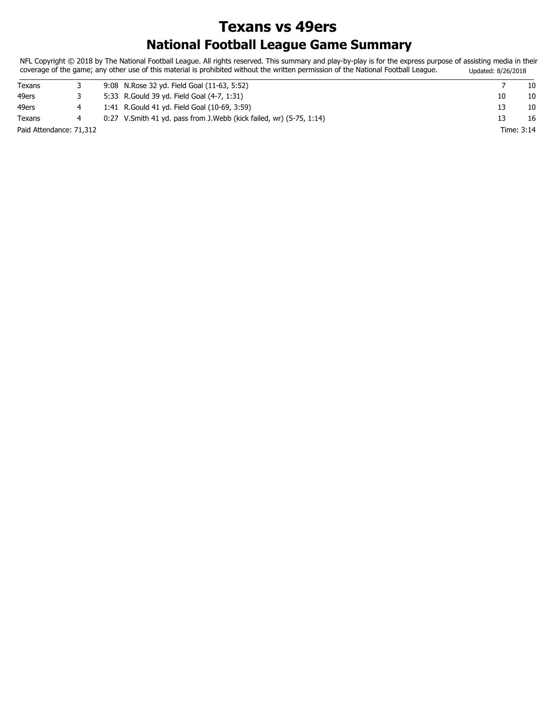# **National Football League Game Summary Texans vs 49ers**

NFL Copyright © 2018 by The National Football League. All rights reserved. This summary and play-by-play is for the express purpose of assisting media in their coverage of the game; any other use of this material is prohibited without the written permission of the National Football League. Updated: 8/26/2018

| Texans                  |  | 9:08 N.Rose 32 yd. Field Goal (11-63, 5:52)                             |    | 10         |
|-------------------------|--|-------------------------------------------------------------------------|----|------------|
| 49ers                   |  | 5:33 R. Gould 39 yd. Field Goal (4-7, 1:31)                             | 10 | 10         |
| 49ers                   |  | 1:41 R. Gould 41 yd. Field Goal (10-69, 3:59)                           |    | 10         |
| Texans                  |  | $0:27$ V. Smith 41 yd. pass from J. Webb (kick failed, wr) (5-75, 1:14) |    | 16         |
| Paid Attendance: 71,312 |  |                                                                         |    | Time: 3:14 |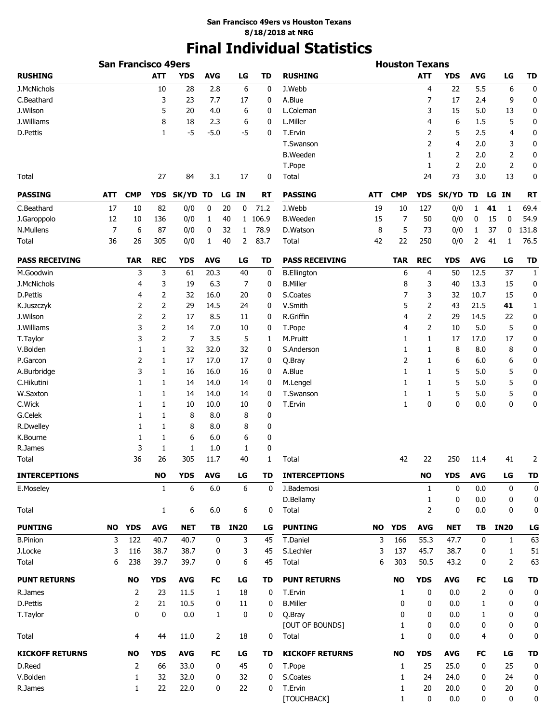# **Final Individual Statistics**

|                        |                | <b>San Francisco 49ers</b> |                |                |            |              |             |           |                        |            | <b>Houston Texans</b> |                |                |            |       |              |              |
|------------------------|----------------|----------------------------|----------------|----------------|------------|--------------|-------------|-----------|------------------------|------------|-----------------------|----------------|----------------|------------|-------|--------------|--------------|
| <b>RUSHING</b>         |                |                            | <b>ATT</b>     | <b>YDS</b>     | <b>AVG</b> |              | LG          | <b>TD</b> | <b>RUSHING</b>         |            |                       | <b>ATT</b>     | <b>YDS</b>     | <b>AVG</b> |       | LG           | TD           |
| J.McNichols            |                |                            | 10             | 28             | 2.8        |              | 6           | 0         | J.Webb                 |            |                       | $\overline{4}$ | 22             | 5.5        |       | 6            | 0            |
| C.Beathard             |                |                            | 3              | 23             | 7.7        |              | 17          | 0         | A.Blue                 |            |                       | 7              | 17             | 2.4        |       | 9            | $\mathbf 0$  |
| J.Wilson               |                |                            | 5              | 20             | 4.0        |              | 6           | 0         | L.Coleman              |            |                       | 3              | 15             | 5.0        |       | 13           | 0            |
| J.Williams             |                |                            | 8              | 18             | 2.3        |              | 6           | 0         | L.Miller               |            |                       | 4              | 6              | 1.5        |       | 5            | 0            |
| D.Pettis               |                |                            | 1              | $-5$           | $-5.0$     |              | $-5$        | 0         | T.Ervin                |            |                       | 2              | 5              | 2.5        |       | 4            | 0            |
|                        |                |                            |                |                |            |              |             |           | T.Swanson              |            |                       | $\overline{2}$ | $\overline{4}$ | 2.0        |       | 3            | 0            |
|                        |                |                            |                |                |            |              |             |           | <b>B.Weeden</b>        |            |                       | 1              | 2              | 2.0        |       | 2            | 0            |
|                        |                |                            |                |                |            |              |             |           | T.Pope                 |            |                       | 1              | $\overline{2}$ | 2.0        |       | 2            | 0            |
| Total                  |                |                            | 27             | 84             | 3.1        |              | 17          | 0         | Total                  |            |                       | 24             | 73             | 3.0        |       | 13           | 0            |
| <b>PASSING</b>         | <b>ATT</b>     | <b>CMP</b>                 | <b>YDS</b>     | SK/YD          | TD         | LG IN        |             | <b>RT</b> | <b>PASSING</b>         | <b>ATT</b> | <b>CMP</b>            | <b>YDS</b>     | SK/YD TD       |            | LG IN |              | <b>RT</b>    |
| C.Beathard             | 17             | 10                         | 82             | 0/0            | 0          | 20           | 0           | 71.2      | J.Webb                 | 19         | 10                    | 127            | 0/0            | 1          | 41    | 1            | 69.4         |
| J.Garoppolo            | 12             | 10                         | 136            | 0/0            | 1          | 40           |             | 1 106.9   | <b>B.Weeden</b>        | 15         | 7                     | 50             | 0/0            | 0          | 15    | 0            | 54.9         |
| N.Mullens              | $\overline{7}$ | 6                          | 87             | 0/0            | 0          | 32           | 1           | 78.9      | D.Watson               | 8          | 5                     | 73             | 0/0            | 1          | 37    | 0            | 131.8        |
| Total                  | 36             | 26                         | 305            | 0/0            | 1          | 40           | 2           | 83.7      | Total                  | 42         | 22                    | 250            | 0/0            | 2          | 41    | 1            | 76.5         |
| <b>PASS RECEIVING</b>  |                | <b>TAR</b>                 | <b>REC</b>     | <b>YDS</b>     | <b>AVG</b> |              | LG          | TD        | <b>PASS RECEIVING</b>  |            | <b>TAR</b>            | <b>REC</b>     | <b>YDS</b>     | <b>AVG</b> |       | LG           | <b>TD</b>    |
| M.Goodwin              |                | 3                          | 3              | 61             | 20.3       |              | 40          | 0         | <b>B.Ellington</b>     |            | 6                     | 4              | 50             | 12.5       |       | 37           | $\mathbf{1}$ |
| J.McNichols            |                | 4                          | 3              | 19             | 6.3        |              | 7           | 0         | <b>B.Miller</b>        |            | 8                     | 3              | 40             | 13.3       |       | 15           | 0            |
| D.Pettis               |                | 4                          | $\overline{2}$ | 32             | 16.0       |              | 20          | 0         | S.Coates               |            | 7                     | 3              | 32             | 10.7       |       | 15           | 0            |
| K.Juszczyk             |                | 2                          | $\overline{2}$ | 29             | 14.5       |              | 24          | 0         | V.Smith                |            | 5                     | $\overline{2}$ | 43             | 21.5       |       | 41           | 1            |
| J.Wilson               |                | 2                          | $\overline{2}$ | 17             | 8.5        |              | 11          | 0         | R.Griffin              |            | 4                     | $\overline{2}$ | 29             | 14.5       |       | 22           | 0            |
| J.Williams             |                | 3                          | $\overline{2}$ | 14             | 7.0        |              | 10          | 0         | T.Pope                 |            | 4                     | $\overline{2}$ | 10             | 5.0        |       | 5            | 0            |
| T.Taylor               |                | 3                          | $\overline{2}$ | $\overline{7}$ | 3.5        |              | 5           | 1         | M.Pruitt               |            | 1                     | 1              | 17             | 17.0       |       | 17           | 0            |
| V.Bolden               |                | 1                          | 1              | 32             | 32.0       |              | 32          | 0         | S.Anderson             |            | 1                     | 1              | 8              | 8.0        |       | 8            | 0            |
| P.Garcon               |                | 2                          | $\mathbf{1}$   | 17             | 17.0       |              | 17          | 0         | Q.Bray                 |            | 2                     | $\mathbf{1}$   | 6              | 6.0        |       | 6            | 0            |
| A.Burbridge            |                | 3                          | $\mathbf{1}$   | 16             | 16.0       |              | 16          | 0         | A.Blue                 |            | 1                     | $\mathbf{1}$   | 5              | 5.0        |       | 5            | 0            |
| C.Hikutini             |                | 1                          | $\mathbf{1}$   | 14             | 14.0       |              | 14          | 0         | M.Lengel               |            | 1                     | $\mathbf{1}$   | 5              | 5.0        |       | 5            | 0            |
| W.Saxton               |                | 1                          | $\mathbf{1}$   | 14             | 14.0       |              | 14          | 0         | T.Swanson              |            | 1                     | 1              | 5              | 5.0        |       | 5            | 0            |
| C.Wick                 |                | 1                          | $\mathbf{1}$   | 10             | 10.0       |              | 10          | 0         | T.Ervin                |            | 1                     | $\mathbf 0$    | 0              | 0.0        |       | 0            | 0            |
| G.Celek                |                | 1                          | $\mathbf{1}$   | 8              | 8.0        |              | 8           | 0         |                        |            |                       |                |                |            |       |              |              |
| R.Dwelley              |                | 1                          | $\mathbf{1}$   | 8              | 8.0        |              | 8           | 0         |                        |            |                       |                |                |            |       |              |              |
| K.Bourne               |                | 1                          | 1              | 6              | 6.0        |              | 6           | 0         |                        |            |                       |                |                |            |       |              |              |
| R.James                |                | 3                          | $\mathbf{1}$   | 1              | 1.0        |              | 1           | 0         |                        |            |                       |                |                |            |       |              |              |
| Total                  |                | 36                         | 26             | 305            | 11.7       |              | 40          | 1         | Total                  |            | 42                    | 22             | 250            | 11.4       |       | 41           | 2            |
| <b>INTERCEPTIONS</b>   |                |                            | <b>NO</b>      | <b>YDS</b>     | <b>AVG</b> |              | LG          | TD        | <b>INTERCEPTIONS</b>   |            |                       | <b>NO</b>      | <b>YDS</b>     | <b>AVG</b> |       | LG           | <b>TD</b>    |
| E.Moseley              |                |                            | 1              | 6              | 6.0        |              | 6           | 0         | J.Bademosi             |            |                       | 1              | 0              | 0.0        |       | 0            | 0            |
|                        |                |                            |                |                |            |              |             |           | D.Bellamy              |            |                       | 1              | 0              | 0.0        |       | 0            | 0            |
| Total                  |                |                            | 1              | 6              | 6.0        |              | 6           | 0         | Total                  |            |                       | 2              | 0              | 0.0        |       | 0            | 0            |
| <b>PUNTING</b>         | NO.            | <b>YDS</b>                 | <b>AVG</b>     | <b>NET</b>     | TB         |              | <b>IN20</b> | LG        | <b>PUNTING</b>         | NO.        | <b>YDS</b>            | <b>AVG</b>     | <b>NET</b>     | TB         |       | <b>IN20</b>  | LG           |
| <b>B.Pinion</b>        | 3              | 122                        | 40.7           | 40.7           |            | 0            | 3           | 45        | T.Daniel               | 3          | 166                   | 55.3           | 47.7           | 0          |       | $\mathbf{1}$ | 63           |
| J.Locke                | 3              | 116                        | 38.7           | 38.7           |            | 0            | 3           | 45        | S.Lechler              | 3          | 137                   | 45.7           | 38.7           | 0          |       | 1            | 51           |
| Total                  | 6              | 238                        | 39.7           | 39.7           |            | 0            | 6           | 45        | Total                  | 6          | 303                   | 50.5           | 43.2           | 0          |       | 2            | 63           |
| <b>PUNT RETURNS</b>    |                | NO                         | <b>YDS</b>     | <b>AVG</b>     | FC         |              | LG          | TD        | <b>PUNT RETURNS</b>    |            | <b>NO</b>             | <b>YDS</b>     | <b>AVG</b>     | FC         |       | LG           | <b>TD</b>    |
| R.James                |                | 2                          | 23             | 11.5           |            | $\mathbf{1}$ | 18          | 0         | T.Ervin                |            | 1                     | 0              | 0.0            | 2          |       | 0            | 0            |
| D.Pettis               |                | 2                          | 21             | 10.5           |            | 0            | 11          | 0         | <b>B.Miller</b>        |            | 0                     | 0              | 0.0            | 1          |       | 0            | 0            |
| T.Taylor               |                | 0                          | 0              | 0.0            |            | $\mathbf{1}$ | 0           | 0         | Q.Bray                 |            | 0                     | 0              | 0.0            | 1          |       | 0            | 0            |
|                        |                |                            |                |                |            |              |             |           | [OUT OF BOUNDS]        |            | 1                     | 0              | 0.0            | 0          |       | 0            | 0            |
| Total                  |                | 4                          | 44             | 11.0           |            | 2            | 18          | 0         | Total                  |            | 1                     | 0              | 0.0            | 4          |       | 0            | 0            |
| <b>KICKOFF RETURNS</b> |                | <b>NO</b>                  | <b>YDS</b>     | <b>AVG</b>     | FC         |              | LG          | TD        | <b>KICKOFF RETURNS</b> |            | <b>NO</b>             | <b>YDS</b>     | <b>AVG</b>     | FC         |       | LG           | TD           |
| D.Reed                 |                | 2                          | 66             | 33.0           |            | 0            | 45          | 0         | T.Pope                 |            | 1                     | 25             | 25.0           | 0          |       | 25           | 0            |
| V.Bolden               |                | 1                          | 32             | 32.0           |            | 0            | 32          | 0         | S.Coates               |            | 1                     | 24             | 24.0           | 0          |       | 24           | 0            |
| R.James                |                | 1                          | 22             | 22.0           |            | 0            | 22          | 0         | T.Ervin                |            | 1                     | 20             | 20.0           | 0          |       | 20           | 0            |
|                        |                |                            |                |                |            |              |             |           | [TOUCHBACK]            |            | 1                     | 0              | 0.0            | 0          |       | 0            | 0            |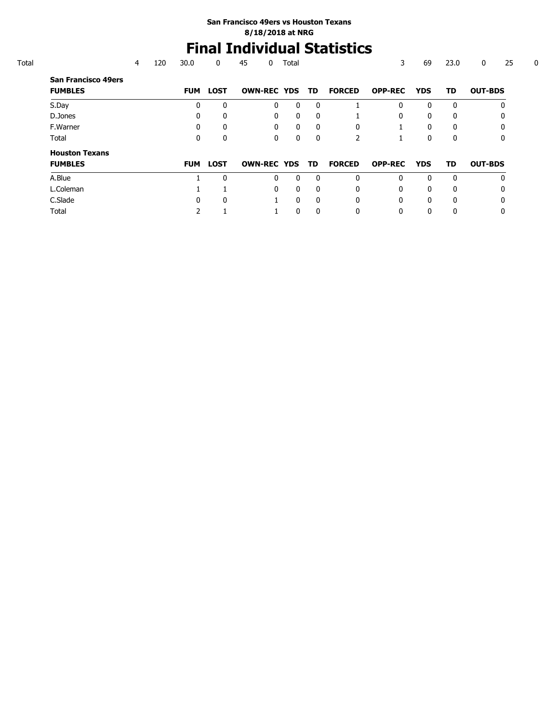# **Final Individual Statistics**

|                                              | 4 | 120 | 30.0       | 0            | 45                 | 0 | Total        |              |               | 3              | 69         | 23.0         | 25<br>0        |
|----------------------------------------------|---|-----|------------|--------------|--------------------|---|--------------|--------------|---------------|----------------|------------|--------------|----------------|
| <b>San Francisco 49ers</b><br><b>FUMBLES</b> |   |     | <b>FUM</b> | <b>LOST</b>  | <b>OWN-REC YDS</b> |   |              | TD.          | <b>FORCED</b> | <b>OPP-REC</b> | <b>YDS</b> | TD           | <b>OUT-BDS</b> |
| S.Day                                        |   |     | 0          | $\mathbf{0}$ |                    | 0 | $\mathbf{0}$ | $\Omega$     |               | 0              | 0          | $\Omega$     | 0              |
| D.Jones                                      |   |     |            | 0            |                    | 0 | 0            | $\mathbf{0}$ |               | 0              | 0          | $\mathbf{0}$ | 0              |
| F.Warner                                     |   |     | 0          | $\Omega$     |                    | 0 | $\mathbf{0}$ | $\Omega$     | $\Omega$      |                | 0          | $\Omega$     | 0              |
| Total                                        |   |     | 0          | 0            |                    | 0 | $\mathbf 0$  | $\mathbf{0}$ |               |                | 0          | $\mathbf{0}$ | 0              |
| <b>Houston Texans</b>                        |   |     |            |              |                    |   |              |              |               |                |            |              |                |
| <b>FUMBLES</b>                               |   |     | <b>FUM</b> | <b>LOST</b>  | <b>OWN-REC YDS</b> |   |              | TD           | <b>FORCED</b> | <b>OPP-REC</b> | <b>YDS</b> | TD           | <b>OUT-BDS</b> |
| A.Blue                                       |   |     |            | 0            |                    | 0 | $\Omega$     | $\Omega$     | $\Omega$      | 0              | 0          | $\Omega$     | $\mathbf{0}$   |
| L.Coleman                                    |   |     |            |              |                    | 0 | $\Omega$     | $\Omega$     | $\Omega$      | 0              | 0          | $\Omega$     | $\mathbf{0}$   |
| C.Slade                                      |   |     | 0          | 0            |                    |   | $\mathbf{0}$ | $\mathbf{0}$ | $\Omega$      | 0              | 0          | $\mathbf{0}$ | 0              |
| Total                                        |   |     |            |              |                    |   | 0            | 0            | 0             | 0              | 0          | 0            | 0              |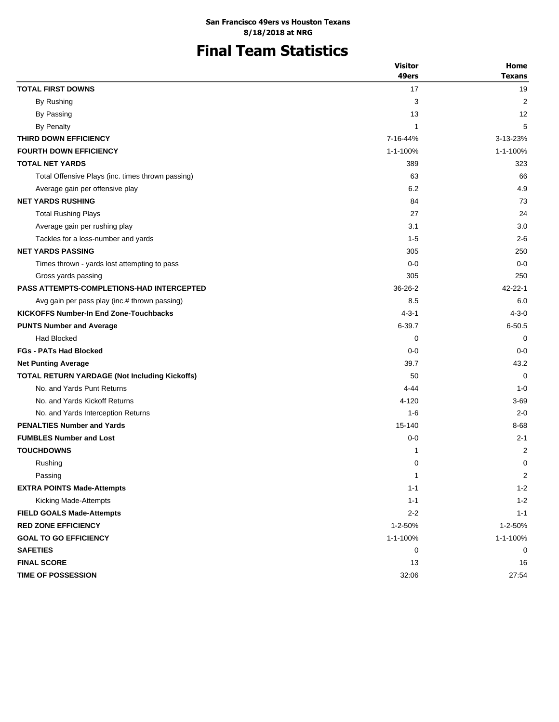# **Final Team Statistics**

|                                                      | <b>Visitor</b> | Home          |
|------------------------------------------------------|----------------|---------------|
|                                                      | 49ers          | <b>Texans</b> |
| <b>TOTAL FIRST DOWNS</b>                             | 17             | 19            |
| By Rushing                                           | 3              | 2             |
| By Passing                                           | 13             | 12            |
| <b>By Penalty</b>                                    | 1              | 5             |
| THIRD DOWN EFFICIENCY                                | 7-16-44%       | 3-13-23%      |
| <b>FOURTH DOWN EFFICIENCY</b>                        | 1-1-100%       | 1-1-100%      |
| <b>TOTAL NET YARDS</b>                               | 389            | 323           |
| Total Offensive Plays (inc. times thrown passing)    | 63             | 66            |
| Average gain per offensive play                      | 6.2            | 4.9           |
| <b>NET YARDS RUSHING</b>                             | 84             | 73            |
| <b>Total Rushing Plays</b>                           | 27             | 24            |
| Average gain per rushing play                        | 3.1            | 3.0           |
| Tackles for a loss-number and yards                  | $1 - 5$        | $2 - 6$       |
| <b>NET YARDS PASSING</b>                             | 305            | 250           |
| Times thrown - yards lost attempting to pass         | $0 - 0$        | $0 - 0$       |
| Gross yards passing                                  | 305            | 250           |
| <b>PASS ATTEMPTS-COMPLETIONS-HAD INTERCEPTED</b>     | $36 - 26 - 2$  | $42 - 22 - 1$ |
| Avg gain per pass play (inc.# thrown passing)        | 8.5            | 6.0           |
| <b>KICKOFFS Number-In End Zone-Touchbacks</b>        | $4 - 3 - 1$    | $4 - 3 - 0$   |
| <b>PUNTS Number and Average</b>                      | $6 - 39.7$     | $6 - 50.5$    |
| <b>Had Blocked</b>                                   | 0              | 0             |
| <b>FGs - PATs Had Blocked</b>                        | $0 - 0$        | $0 - 0$       |
| <b>Net Punting Average</b>                           | 39.7           | 43.2          |
| <b>TOTAL RETURN YARDAGE (Not Including Kickoffs)</b> | 50             | $\Omega$      |
| No. and Yards Punt Returns                           | $4 - 44$       | $1 - 0$       |
| No. and Yards Kickoff Returns                        | 4-120          | 3-69          |
| No. and Yards Interception Returns                   | $1 - 6$        | $2 - 0$       |
| <b>PENALTIES Number and Yards</b>                    | 15-140         | 8-68          |
| <b>FUMBLES Number and Lost</b>                       | $0 - 0$        | $2 - 1$       |
| <b>TOUCHDOWNS</b>                                    | 1              | 2             |
| Rushing                                              | 0              | 0             |
| Passing                                              | 1              | 2             |
| <b>EXTRA POINTS Made-Attempts</b>                    | $1 - 1$        | $1 - 2$       |
| Kicking Made-Attempts                                | $1 - 1$        | $1 - 2$       |
| <b>FIELD GOALS Made-Attempts</b>                     | $2 - 2$        | $1 - 1$       |
| <b>RED ZONE EFFICIENCY</b>                           | 1-2-50%        | 1-2-50%       |
| <b>GOAL TO GO EFFICIENCY</b>                         | 1-1-100%       | 1-1-100%      |
| <b>SAFETIES</b>                                      | 0              | 0             |
| <b>FINAL SCORE</b>                                   | 13             | 16            |
| TIME OF POSSESSION                                   | 32:06          | 27:54         |
|                                                      |                |               |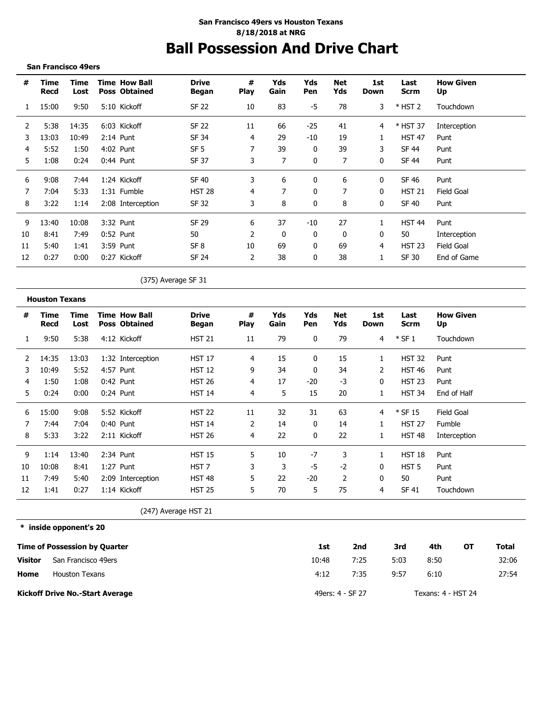## **Ball Possession And Drive Chart San Francisco 49ers vs Houston Texans 8/18/2018 at NRG**

**San Francisco 49ers**

| #  | Time<br>Recd | Time<br>Lost |           | <b>Time How Ball</b><br><b>Poss Obtained</b> | <b>Drive</b><br>Began | #<br><b>Play</b> | Yds<br>Gain | Yds<br>Pen | Net<br>Yds | 1st<br>Down | Last<br><b>Scrm</b> | <b>How Given</b><br>Up |
|----|--------------|--------------|-----------|----------------------------------------------|-----------------------|------------------|-------------|------------|------------|-------------|---------------------|------------------------|
|    | 15:00        | 9:50         |           | 5:10 Kickoff                                 | <b>SF 22</b>          | 10               | 83          | -5         | 78         | 3           | $*$ HST 2           | Touchdown              |
| 2  | 5:38         | 14:35        |           | 6:03 Kickoff                                 | SF 22                 | 11               | 66          | $-25$      | 41         | 4           | * HST 37            | Interception           |
| 3  | 13:03        | 10:49        |           | $2:14$ Punt                                  | SF 34                 | 4                | 29          | $-10$      | 19         |             | <b>HST 47</b>       | Punt                   |
| 4  | 5:52         | 1:50         | 4:02 Punt |                                              | SF <sub>5</sub>       |                  | 39          | 0          | 39         | 3           | SF 44               | Punt                   |
| 5. | 1:08         | 0:24         |           | $0:44$ Punt                                  | SF 37                 | 3.               | 7           | $\Omega$   | 7          | $\Omega$    | <b>SF 44</b>        | Punt                   |
| 6  | 9:08         | 7:44         |           | 1:24 Kickoff                                 | <b>SF 40</b>          | 3.               | 6           | $\Omega$   | 6          | $\Omega$    | SF 46               | Punt                   |
|    | 7:04         | 5:33         |           | 1:31 Fumble                                  | <b>HST 28</b>         | 4                |             | 0          |            | $\Omega$    | <b>HST 21</b>       | Field Goal             |
| 8  | 3:22         | 1:14         |           | 2:08 Interception                            | SF 32                 | 3                | 8           | 0          | 8          | 0           | SF 40               | Punt                   |
| 9  | 13:40        | 10:08        |           | 3:32 Punt                                    | SF 29                 | 6                | 37          | $-10$      | 27         |             | <b>HST 44</b>       | Punt                   |
| 10 | 8:41         | 7:49         |           | $0:52$ Punt                                  | 50                    | 2                | 0           | $\Omega$   | 0          | $\Omega$    | 50                  | Interception           |
| 11 | 5:40         | 1:41         |           | 3:59 Punt                                    | SF <sub>8</sub>       | 10               | 69          | 0          | 69         | 4           | <b>HST 23</b>       | <b>Field Goal</b>      |
| 12 | 0:27         | 0:00         |           | 0:27 Kickoff                                 | SF 24                 |                  | 38          | 0          | 38         |             | SF 30               | End of Game            |

(375) Average SF 31

| #  | Time<br>Recd | Time<br>Lost | <b>Time How Ball</b><br><b>Poss Obtained</b> | Drive<br>Began            | #<br><b>Play</b> | Yds<br>Gain | Yds<br>Pen | Net<br>Yds     | 1st<br>Down  | Last<br>Scrm     | <b>How Given</b><br>Up |
|----|--------------|--------------|----------------------------------------------|---------------------------|------------------|-------------|------------|----------------|--------------|------------------|------------------------|
|    | 9:50         | 5:38         | 4:12 Kickoff                                 | <b>HST 21</b>             | 11               | 79          | 0          | 79             | 4            | $*$ SF 1         | Touchdown              |
| 2  | 14:35        | 13:03        | 1:32 Interception                            | <b>HST 17</b>             | 4                | 15          | 0          | 15             |              | <b>HST 32</b>    | Punt                   |
| 3  | 10:49        | 5:52         | 4:57 Punt                                    | <b>HST 12</b>             | 9                | 34          | 0          | 34             | 2            | <b>HST 46</b>    | Punt                   |
| 4  | 1:50         | 1:08         | 0:42 Punt                                    | <b>HST 26</b>             | 4                | 17          | $-20$      | -3             | 0            | <b>HST 23</b>    | Punt                   |
| 5. | 0:24         | 0:00         | $0:24$ Punt                                  | <b>HST 14</b>             | 4                | 5           | 15         | 20             | $\mathbf{1}$ | <b>HST 34</b>    | End of Half            |
| 6  | 15:00        | 9:08         | 5:52 Kickoff                                 | <b>HST 22</b>             | 11               | 32          | 31         | 63             | 4            | $*$ SF 15        | Field Goal             |
|    | 7:44         | 7:04         | $0:40$ Punt                                  | <b>HST 14</b>             | 2                | 14          | 0          | 14             |              | <b>HST 27</b>    | Fumble                 |
| 8  | 5:33         | 3:22         | 2:11 Kickoff                                 | <b>HST 26</b>             | 4                | 22          | 0          | 22             | 1            | <b>HST 48</b>    | Interception           |
| 9  | 1:14         | 13:40        | 2:34 Punt                                    | <b>HST 15</b>             | 5.               | 10          | $-7$       | 3              | 1            | <b>HST 18</b>    | Punt                   |
| 10 | 10:08        | 8:41         | 1:27 Punt                                    | HST 7                     | 3                | 3           | -5         | $-2$           | 0            | HST <sub>5</sub> | Punt                   |
| 11 | 7:49         | 5:40         | 2:09 Interception                            | HST 48                    | 5                | 22          | $-20$      | $\overline{2}$ | $\mathbf{0}$ | 50               | Punt                   |
| 12 | 1:41         | 0:27         | 1:14 Kickoff                                 | <b>HST 25</b>             | 5                | 70          | 5          | 75             | 4            | SF 41            | Touchdown              |
|    |              |              |                                              | $(247)$ $(1.12)$ $(1.12)$ |                  |             |            |                |              |                  |                        |

(247) Average HST 21

**\* inside opponent's 20**

|         | Time of Possession by Quarter          | 1st   | 2nd              | 3rd  | 4th                | ΟТ | Total |
|---------|----------------------------------------|-------|------------------|------|--------------------|----|-------|
| Visitor | San Francisco 49ers                    | 10:48 | 7:25             | 5:03 | 8:50               |    | 32:06 |
| Home    | <b>Houston Texans</b>                  | 4:12  | 7:35             | 9:57 | 6:10               |    | 27:54 |
|         | <b>Kickoff Drive No.-Start Average</b> |       | 49ers: 4 - SF 27 |      | Texans: 4 - HST 24 |    |       |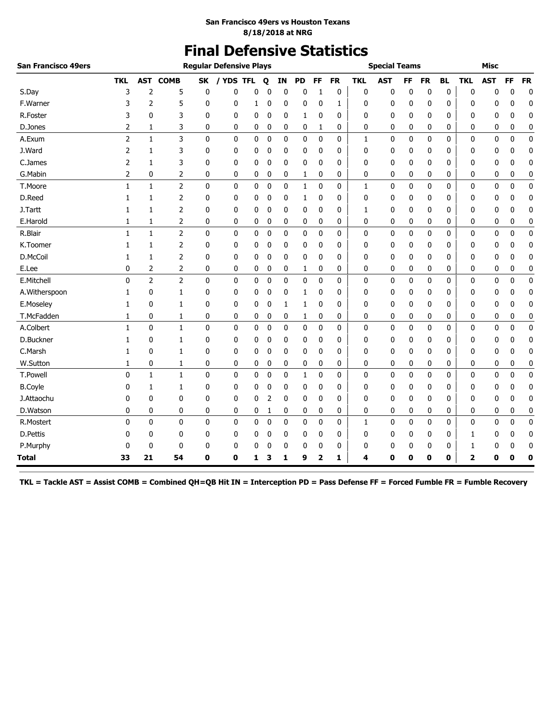# **Final Defensive Statistics**

| <b>San Francisco 49ers</b> |              |                |                |              | <b>Regular Defensive Plays</b> |            |             |             |             |    |           |              | <b>Special Teams</b> |    |           |           |            | <b>Misc</b> |             |             |
|----------------------------|--------------|----------------|----------------|--------------|--------------------------------|------------|-------------|-------------|-------------|----|-----------|--------------|----------------------|----|-----------|-----------|------------|-------------|-------------|-------------|
|                            | <b>TKL</b>   | <b>AST</b>     | <b>COMB</b>    | <b>SK</b>    | / YDS                          | <b>TFL</b> | Q           | IN          | <b>PD</b>   | FF | <b>FR</b> | <b>TKL</b>   | <b>AST</b>           | FF | <b>FR</b> | <b>BL</b> | <b>TKL</b> | <b>AST</b>  | FF          | <b>FR</b>   |
| S.Day                      | 3            | $\overline{2}$ | 5              | 0            | 0                              | 0          | 0           | 0           | 0           | 1  | 0         | 0            | 0                    | 0  | 0         | 0         | 0          | 0           | 0           | $\mathbf 0$ |
| F.Warner                   | 3            | 2              | 5              | 0            | 0                              | 1          | 0           | 0           | 0           | 0  | 1         | 0            | 0                    | 0  | 0         | 0         | 0          | 0           | 0           | 0           |
| R.Foster                   | 3            | 0              | 3              | 0            | 0                              | 0          | 0           | 0           | 1           | 0  | 0         | 0            | 0                    | 0  | 0         | 0         | 0          | 0           | 0           | 0           |
| D.Jones                    | 2            | 1              | 3              | 0            | 0                              | 0          | 0           | 0           | 0           | 1  | 0         | 0            | 0                    | 0  | 0         | 0         | 0          | 0           | 0           | 0           |
| A.Exum                     | 2            | $\mathbf{1}$   | 3              | $\mathbf 0$  | 0                              | 0          | $\bf{0}$    | 0           | $\mathbf 0$ | 0  | 0         | 1            | 0                    | 0  | 0         | 0         | 0          | 0           | $\mathbf 0$ | $\pmb{0}$   |
| J.Ward                     | 2            | 1              | 3              | 0            | 0                              | 0          | 0           | 0           | 0           | 0  | 0         | 0            | 0                    | 0  | 0         | 0         | 0          | 0           | 0           | 0           |
| C.James                    | 2            | 1              | 3              | 0            | 0                              | 0          | 0           | 0           | 0           | 0  | 0         | 0            | 0                    | 0  | 0         | 0         | 0          | 0           | 0           | 0           |
| G.Mabin                    | 2            | 0              | 2              | 0            | 0                              | 0          | 0           | 0           | 1           | 0  | 0         | 0            | 0                    | 0  | 0         | 0         | 0          | 0           | 0           | 0           |
| T.Moore                    | $\mathbf{1}$ | $\mathbf{1}$   | $\overline{2}$ | 0            | 0                              | 0          | 0           | 0           | 1           | 0  | 0         | 1            | 0                    | 0  | 0         | 0         | 0          | 0           | 0           | 0           |
| D.Reed                     | 1            | 1              | 2              | 0            | 0                              | 0          | 0           | 0           | 1           | 0  | 0         | 0            | 0                    | 0  | 0         | 0         | 0          | 0           | 0           | 0           |
| J.Tartt                    | 1            | 1              | 2              | 0            | 0                              | 0          | 0           | 0           | 0           | 0  | 0         | 1            | 0                    | 0  | 0         | 0         | 0          | 0           | 0           | 0           |
| E.Harold                   | 1            | 1              | 2              | 0            | 0                              | 0          | 0           | 0           | 0           | 0  | 0         | 0            | 0                    | 0  | 0         | 0         | 0          | 0           | 0           | 0           |
| R.Blair                    | $\mathbf{1}$ | $\mathbf{1}$   | $\overline{2}$ | $\mathbf 0$  | 0                              | 0          | 0           | 0           | 0           | 0  | 0         | 0            | $\mathbf 0$          | 0  | 0         | 0         | 0          | 0           | $\mathbf 0$ | $\pmb{0}$   |
| K.Toomer                   | 1            | 1              | 2              | 0            | 0                              | 0          | 0           | 0           | 0           | 0  | 0         | 0            | 0                    | 0  | 0         | 0         | 0          | 0           | 0           | 0           |
| D.McCoil                   | 1            | 1              | 2              | 0            | 0                              | 0          | 0           | 0           | 0           | 0  | 0         | 0            | 0                    | 0  | 0         | 0         | 0          | 0           | 0           | 0           |
| E.Lee                      | 0            | 2              | 2              | 0            | 0                              | 0          | 0           | 0           | 1           | 0  | 0         | 0            | 0                    | 0  | 0         | 0         | 0          | 0           | 0           | 0           |
| E.Mitchell                 | 0            | $\overline{2}$ | $\overline{2}$ | $\mathbf 0$  | 0                              | 0          | $\mathbf 0$ | 0           | $\mathbf 0$ | 0  | 0         | 0            | 0                    | 0  | 0         | 0         | 0          | 0           | $\mathbf 0$ | $\mathbf 0$ |
| A.Witherspoon              | 1            | 0              | 1              | 0            | 0                              | 0          | 0           | 0           | 1           | 0  | 0         | 0            | 0                    | 0  | 0         | 0         | 0          | 0           | 0           | $\mathbf 0$ |
| E.Moseley                  | 1            | 0              | 1              | 0            | 0                              | 0          | 0           | $\mathbf 1$ | 1           | 0  | 0         | 0            | 0                    | 0  | 0         | 0         | 0          | 0           | 0           | 0           |
| T.McFadden                 | 1            | 0              | 1              | 0            | 0                              | 0          | 0           | 0           | 1           | 0  | 0         | 0            | 0                    | 0  | 0         | 0         | 0          | 0           | 0           | 0           |
| A.Colbert                  | 1            | 0              | $\mathbf{1}$   | 0            | 0                              | 0          | 0           | 0           | 0           | 0  | 0         | 0            | 0                    | 0  | 0         | 0         | 0          | 0           | 0           | 0           |
| D.Buckner                  | 1            | 0              | 1              | 0            | 0                              | 0          | 0           | 0           | 0           | 0  | 0         | 0            | 0                    | 0  | 0         | 0         | 0          | 0           | 0           | 0           |
| C.Marsh                    | 1            | 0              | 1              | 0            | 0                              | 0          | 0           | 0           | 0           | 0  | 0         | 0            | 0                    | 0  | 0         | 0         | 0          | 0           | 0           | 0           |
| W.Sutton                   | 1            | 0              | 1              | 0            | 0                              | 0          | 0           | 0           | 0           | 0  | 0         | 0            | 0                    | 0  | 0         | 0         | 0          | 0           | 0           | 0           |
| T.Powell                   | 0            | $\mathbf{1}$   | $\mathbf{1}$   | $\mathbf{0}$ | 0                              | 0          | $\mathbf 0$ | 0           | 1           | 0  | 0         | $\mathbf{0}$ | $\mathbf 0$          | 0  | 0         | 0         | 0          | 0           | $\mathbf 0$ | $\mathbf 0$ |
| <b>B.Coyle</b>             | 0            | 1              | 1              | 0            | 0                              | 0          | 0           | 0           | 0           | 0  | 0         | 0            | 0                    | 0  | 0         | 0         | 0          | 0           | 0           | $\mathbf 0$ |
| J.Attaochu                 | 0            | 0              | $\mathbf{0}$   | 0            | 0                              | 0          | 2           | 0           | 0           | 0  | 0         | 0            | 0                    | 0  | 0         | 0         | 0          | 0           | 0           | 0           |
| D.Watson                   | 0            | 0              | 0              | 0            | 0                              | 0          | 1           | 0           | 0           | 0  | 0         | 0            | 0                    | 0  | 0         | 0         | 0          | 0           | 0           | 0           |
| R.Mostert                  | 0            | $\mathbf{0}$   | $\mathbf 0$    | $\mathbf 0$  | 0                              | 0          | 0           | 0           | $\mathbf 0$ | 0  | 0         | 1            | $\mathbf 0$          | 0  | 0         | 0         | 0          | 0           | 0           | $\pmb{0}$   |
| D.Pettis                   | 0            | 0              | 0              | 0            | 0                              | 0          | 0           | 0           | 0           | 0  | 0         | 0            | 0                    | 0  | 0         | 0         | 1          | 0           | 0           | 0           |
| P.Murphy                   | 0            | 0              | 0              | 0            | 0                              | 0          | 0           | 0           | 0           | 0  | 0         | 0            | 0                    | 0  | 0         | 0         | 1          | 0           | 0           | 0           |
| <b>Total</b>               | 33           | 21             | 54             | 0            | 0                              | 1          | з           | 1           | 9           | 2  | 1         | 4            | 0                    | 0  | 0         | 0         | 2          | 0           | 0           | 0           |

**TKL = Tackle AST = Assist COMB = Combined QH=QB Hit IN = Interception PD = Pass Defense FF = Forced Fumble FR = Fumble Recovery**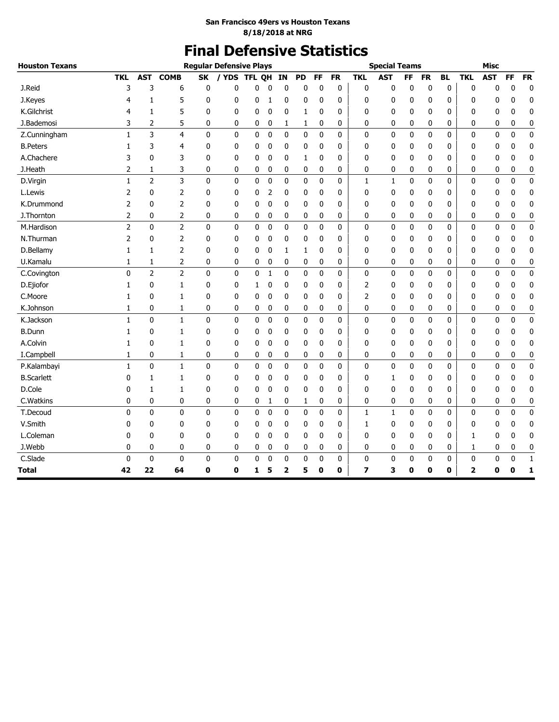# **Final Defensive Statistics**

| <b>Houston Texans</b> |                |                |                |              | <b>Regular Defensive Plays</b> |            |             |                |             |             |              |                | <b>Special Teams</b> |              |             |              |              | <b>Misc</b> |              |              |
|-----------------------|----------------|----------------|----------------|--------------|--------------------------------|------------|-------------|----------------|-------------|-------------|--------------|----------------|----------------------|--------------|-------------|--------------|--------------|-------------|--------------|--------------|
|                       | <b>TKL</b>     | <b>AST</b>     | <b>COMB</b>    | <b>SK</b>    | / YDS                          | <b>TFL</b> | OH          | IN             | <b>PD</b>   | <b>FF</b>   | <b>FR</b>    | <b>TKL</b>     | <b>AST</b>           | FF           | <b>FR</b>   | <b>BL</b>    | <b>TKL</b>   | <b>AST</b>  | FF           | <b>FR</b>    |
| J.Reid                | 3              | 3              | 6              | 0            | 0                              | 0          | $\sqrt{ }$  | $\mathbf{0}$   | $\mathbf 0$ | 0           | 0            | 0              | $\mathbf 0$          | $\mathbf{0}$ | 0           | 0            | $\mathbf{0}$ | 0           | $\mathbf 0$  | $\mathbf 0$  |
| J.Keyes               | 4              | 1              | 5              | 0            | 0                              | 0          | 1           | 0              | 0           | 0           | 0            | 0              | 0                    | 0            | 0           | 0            | 0            | 0           | 0            | $\mathbf 0$  |
| K.Gilchrist           | 4              | 1              | 5              | 0            | 0                              | 0          | 0           | 0              | 1           | 0           | 0            | 0              | 0                    | 0            | 0           | 0            | 0            | 0           | 0            | 0            |
| J.Bademosi            | 3              | 2              | 5              | 0            | 0                              | 0          | 0           | 1              | 1           | 0           | 0            | 0              | 0                    | 0            | 0           | 0            | 0            | 0           | 0            | 0            |
| Z.Cunningham          | 1              | 3              | 4              | 0            | 0                              | 0          | $\mathbf 0$ | 0              | 0           | 0           | 0            | 0              | $\bf{0}$             | 0            | 0           | 0            | 0            | 0           | $\mathbf 0$  | $\pmb{0}$    |
| <b>B.Peters</b>       | 1              | 3              | 4              | 0            | 0                              | 0          | 0           | 0              | 0           | 0           | 0            | 0              | 0                    | 0            | 0           | 0            | 0            | 0           | 0            | 0            |
| A.Chachere            | 3              | $\mathbf{0}$   | 3              | $\mathbf{0}$ | 0                              | 0          | 0           | 0              | 1           | 0           | 0            | 0              | 0                    | 0            | 0           | 0            | 0            | 0           | 0            | 0            |
| J.Heath               | 2              | 1              | 3              | 0            | 0                              | 0          | 0           | 0              | 0           | 0           | 0            | 0              | 0                    | 0            | 0           | 0            | 0            | 0           | 0            | 0            |
| D.Virgin              | 1              | $\overline{2}$ | 3              | 0            | 0                              | 0          | $\mathbf 0$ | $\mathbf 0$    | $\mathbf 0$ | $\mathbf 0$ | 0            | $\mathbf{1}$   | 1                    | 0            | $\mathbf 0$ | 0            | 0            | 0           | $\mathbf 0$  | $\pmb{0}$    |
| L.Lewis               | 2              | $\mathbf{0}$   | $\overline{2}$ | 0            | 0                              | 0          | 2           | 0              | 0           | 0           | 0            | 0              | $\mathbf 0$          | 0            | 0           | 0            | 0            | 0           | 0            | $\mathbf 0$  |
| K.Drummond            | 2              | $\mathbf{0}$   | $\overline{2}$ | 0            | 0                              | 0          | 0           | 0              | 0           | 0           | 0            | 0              | $\mathbf 0$          | 0            | 0           | 0            | 0            | 0           | 0            | 0            |
| J.Thornton            | 2              | 0              | 2              | 0            | 0                              | 0          | 0           | 0              | 0           | 0           | 0            | 0              | 0                    | 0            | 0           | 0            | 0            | 0           | 0            | 0            |
| M.Hardison            | $\overline{2}$ | $\mathbf{0}$   | $\overline{2}$ | $\mathbf{0}$ | $\mathbf{0}$                   | 0          | $\mathbf 0$ | $\mathbf 0$    | $\mathbf 0$ | $\mathbf 0$ | 0            | 0              | $\mathbf{0}$         | 0            | 0           | 0            | $\mathbf{0}$ | 0           | $\mathbf 0$  | $\pmb{0}$    |
| N.Thurman             | 2              | 0              | $\overline{2}$ | 0            | 0                              | 0          | 0           | 0              | 0           | 0           | 0            | 0              | 0                    | 0            | 0           | 0            | 0            | 0           | 0            | 0            |
| D.Bellamy             | 1              | 1              | $\overline{2}$ | 0            | 0                              | 0          | 0           | 1              | 1           | 0           | 0            | 0              | 0                    | 0            | 0           | 0            | 0            | 0           | 0            | $\bf{0}$     |
| U.Kamalu              | 1              | 1              | 2              | 0            | 0                              | 0          | 0           | 0              | 0           | 0           | 0            | 0              | 0                    | 0            | 0           | 0            | 0            | 0           | 0            | 0            |
| C.Covington           | $\mathbf{0}$   | $\overline{2}$ | $\overline{2}$ | 0            | 0                              | 0          | 1           | 0              | 0           | $\mathbf 0$ | 0            | 0              | 0                    | 0            | 0           | 0            | 0            | $\mathbf 0$ | $\mathbf 0$  | $\pmb{0}$    |
| D.Ejiofor             | 1              | 0              | 1              | 0            | 0                              | 1          | 0           | 0              | 0           | 0           | 0            | $\overline{2}$ | 0                    | 0            | 0           | 0            | 0            | 0           | 0            | 0            |
| C.Moore               | 1              | $\mathbf{0}$   | 1              | $\mathbf{0}$ | 0                              | 0          | 0           | 0              | 0           | 0           | 0            | 2              | 0                    | 0            | 0           | 0            | 0            | 0           | 0            | 0            |
| K.Johnson             | 1              | 0              | 1              | 0            | 0                              | 0          | 0           | 0              | 0           | 0           | 0            | 0              | 0                    | 0            | 0           | 0            | 0            | 0           | 0            | 0            |
| K.Jackson             | $\mathbf{1}$   | $\mathbf 0$    | $\mathbf{1}$   | $\mathbf 0$  | 0                              | 0          | $\mathbf 0$ | $\pmb{0}$      | $\mathbf 0$ | 0           | 0            | 0              | 0                    | 0            | 0           | 0            | 0            | 0           | $\mathbf 0$  | $\pmb{0}$    |
| <b>B.Dunn</b>         | 1              | $\mathbf{0}$   | 1              | 0            | 0                              | 0          | 0           | 0              | 0           | 0           | 0            | 0              | $\mathbf 0$          | 0            | 0           | 0            | 0            | 0           | 0            | 0            |
| A.Colvin              | 1              | 0              | 1              | 0            | 0                              | 0          | 0           | 0              | 0           | 0           | 0            | 0              | 0                    | 0            | 0           | 0            | 0            | 0           | 0            | 0            |
| I.Campbell            | 1              | 0              | 1              | 0            | 0                              | 0          | 0           | 0              | 0           | 0           | 0            | 0              | 0                    | 0            | 0           | 0            | 0            | 0           | 0            | $\bf{0}$     |
| P.Kalambayi           | $\mathbf{1}$   | $\mathbf{0}$   | $\mathbf{1}$   | $\mathbf 0$  | 0                              | 0          | $\mathbf 0$ | 0              | 0           | $\mathbf 0$ | 0            | 0              | $\mathbf{0}$         | 0            | $\mathbf 0$ | 0            | $\mathbf 0$  | 0           | $\mathbf{0}$ | $\mathbf 0$  |
| <b>B.Scarlett</b>     | 0              | 1              | 1              | 0            | 0                              | 0          | 0           | 0              | 0           | 0           | 0            | 0              | 1                    | 0            | 0           | 0            | 0            | 0           | 0            | 0            |
| D.Cole                | 0              | 1              | 1              | 0            | 0                              | 0          | 0           | 0              | 0           | 0           | 0            | 0              | 0                    | 0            | 0           | 0            | 0            | 0           | 0            | $\mathbf 0$  |
| C.Watkins             | 0              | 0              | 0              | 0            | 0                              | 0          | 1           | 0              | 1           | 0           | 0            | 0              | $\mathbf 0$          | 0            | 0           | 0            | 0            | 0           | 0            | 0            |
| T.Decoud              | 0              | $\mathbf{0}$   | $\mathbf{0}$   | 0            | 0                              | 0          | 0           | 0              | $\mathbf 0$ | 0           | 0            | 1              | 1                    | 0            | 0           | 0            | 0            | 0           | 0            | 0            |
| V.Smith               | 0              | 0              | 0              | 0            | 0                              | 0          | 0           | 0              | 0           | 0           | 0            | 1              | 0                    | 0            | 0           | 0            | 0            | 0           | 0            | 0            |
| L.Coleman             | 0              | $\mathbf{0}$   | $\mathbf{0}$   | $\mathbf{0}$ | 0                              | 0          | 0           | 0              | 0           | 0           | 0            | 0              | $\mathbf 0$          | 0            | 0           | 0            | 1            | 0           | 0            | $\mathbf{0}$ |
| J.Webb                | 0              | 0              | 0              | 0            | 0                              | 0          | 0           | 0              | 0           | 0           | 0            | 0              | 0                    | 0            | 0           | 0            | 1            | 0           | 0            | 0            |
| C.Slade               | $\mathbf{0}$   | 0              | $\mathbf 0$    | 0            | 0                              | 0          | $\mathbf 0$ | 0              | $\mathbf 0$ | 0           | 0            | 0              | $\bf{0}$             | 0            | 0           | 0            | 0            | 0           | 0            | $\mathbf 1$  |
| <b>Total</b>          | 42             | 22             | 64             | 0            | $\mathbf 0$                    | 1          | 5           | $\overline{2}$ | 5           | 0           | $\mathbf{0}$ | 7              | 3                    | 0            | O           | $\mathbf{0}$ | 2            | 0           | O            | $\mathbf{1}$ |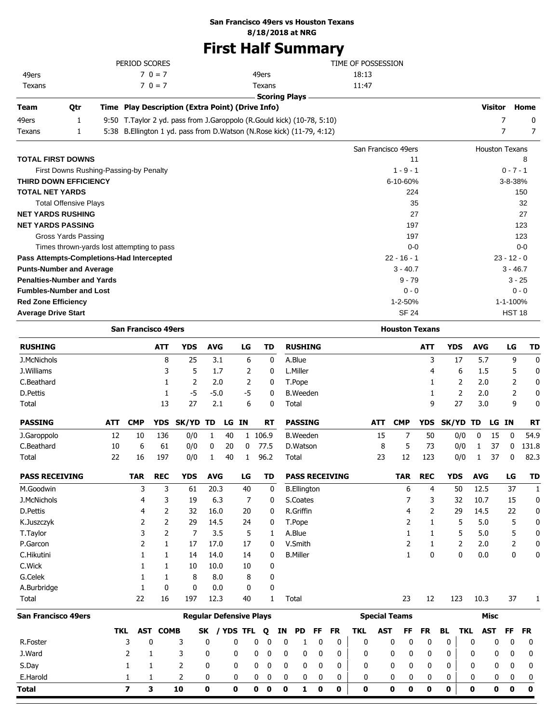## **San Francisco 49ers vs Houston Texans**

**8/18/2018 at NRG**

# **First Half Summary**

|                                           |                                            |            | PERIOD SCORES              |                 |                                                                        |                                |       |      |                            |    | TIME OF POSSESSION   |    |                       |       |            |                       |            |                |            |                       |               |              |
|-------------------------------------------|--------------------------------------------|------------|----------------------------|-----------------|------------------------------------------------------------------------|--------------------------------|-------|------|----------------------------|----|----------------------|----|-----------------------|-------|------------|-----------------------|------------|----------------|------------|-----------------------|---------------|--------------|
| 49ers                                     |                                            |            |                            | $70 = 7$        |                                                                        |                                |       |      | 49ers                      |    |                      |    |                       | 18:13 |            |                       |            |                |            |                       |               |              |
| Texans                                    |                                            |            |                            | $70 = 7$        |                                                                        |                                |       |      | Texans                     |    |                      |    |                       | 11:47 |            |                       |            |                |            |                       |               |              |
|                                           |                                            |            |                            |                 |                                                                        |                                |       |      |                            |    | <b>Scoring Plays</b> |    |                       |       |            |                       |            |                |            |                       |               |              |
| Team                                      | Qtr                                        |            |                            |                 | Time Play Description (Extra Point) (Drive Info)                       |                                |       |      |                            |    |                      |    |                       |       |            |                       |            |                |            | Visitor               |               | Home         |
| 49ers                                     | 1                                          |            |                            |                 | 9:50 T.Taylor 2 yd. pass from J.Garoppolo (R.Gould kick) (10-78, 5:10) |                                |       |      |                            |    |                      |    |                       |       |            |                       |            |                |            | 7                     |               | 0            |
| Texans                                    | 1                                          |            |                            |                 | 5:38 B.Ellington 1 yd. pass from D.Watson (N.Rose kick) (11-79, 4:12)  |                                |       |      |                            |    |                      |    |                       |       |            |                       |            |                |            | 7                     |               | 7            |
|                                           |                                            |            |                            |                 |                                                                        |                                |       |      |                            |    |                      |    |                       |       |            | San Francisco 49ers   |            |                |            | <b>Houston Texans</b> |               |              |
| TOTAL FIRST DOWNS                         |                                            |            |                            |                 |                                                                        |                                |       |      |                            |    |                      |    |                       |       |            | 11                    |            |                |            |                       |               | 8            |
|                                           | First Downs Rushing-Passing-by Penalty     |            |                            |                 |                                                                        |                                |       |      |                            |    |                      |    |                       |       |            | $1 - 9 - 1$           |            |                |            |                       | $0 - 7 - 1$   |              |
| <b>THIRD DOWN EFFICIENCY</b>              |                                            |            |                            |                 |                                                                        |                                |       |      |                            |    |                      |    |                       |       |            | 6-10-60%              |            |                |            |                       | $3 - 8 - 38%$ |              |
| TOTAL NET YARDS                           |                                            |            |                            |                 |                                                                        |                                |       |      |                            |    |                      |    |                       |       |            | 224                   |            |                |            |                       |               | 150          |
|                                           | <b>Total Offensive Plays</b>               |            |                            |                 |                                                                        |                                |       |      |                            |    |                      |    |                       |       |            |                       | 35         |                |            |                       |               | 32           |
| <b>NET YARDS RUSHING</b>                  |                                            |            |                            |                 |                                                                        |                                |       |      |                            |    |                      |    |                       |       |            |                       | 27         |                |            |                       |               | 27           |
| <b>NET YARDS PASSING</b>                  |                                            |            |                            |                 |                                                                        |                                |       |      |                            |    |                      |    |                       |       |            | 197                   |            |                |            |                       |               | 123          |
|                                           | <b>Gross Yards Passing</b>                 |            |                            |                 |                                                                        |                                |       |      |                            |    |                      |    |                       |       |            | 197                   |            |                |            |                       |               | 123          |
|                                           | Times thrown-yards lost attempting to pass |            |                            |                 |                                                                        |                                |       |      |                            |    |                      |    |                       |       |            | $0 - 0$               |            |                |            |                       |               | $0 - 0$      |
| Pass Attempts-Completions-Had Intercepted |                                            |            |                            |                 |                                                                        |                                |       |      |                            |    |                      |    |                       |       |            | $22 - 16 - 1$         |            |                |            |                       | $23 - 12 - 0$ |              |
| <b>Punts-Number and Average</b>           |                                            |            |                            |                 |                                                                        |                                |       |      |                            |    |                      |    |                       |       |            | $3 - 40.7$            |            |                |            |                       | $3 - 46.7$    |              |
| <b>Penalties-Number and Yards</b>         |                                            |            |                            |                 |                                                                        |                                |       |      |                            |    |                      |    |                       |       |            | $9 - 79$              |            |                |            |                       | $3 - 25$      |              |
| <b>Fumbles-Number and Lost</b>            |                                            |            |                            |                 |                                                                        |                                |       |      |                            |    |                      |    |                       |       |            | $0 - 0$               |            |                |            |                       | $0 - 0$       |              |
| <b>Red Zone Efficiency</b>                |                                            |            |                            |                 |                                                                        |                                |       |      |                            |    |                      |    |                       |       |            | $1 - 2 - 50%$         |            |                |            |                       | 1-1-100%      |              |
| <b>Average Drive Start</b>                |                                            |            |                            |                 |                                                                        |                                |       |      |                            |    |                      |    |                       |       |            | <b>SF 24</b>          |            |                |            |                       | <b>HST 18</b> |              |
|                                           |                                            |            | <b>San Francisco 49ers</b> |                 |                                                                        |                                |       |      |                            |    |                      |    |                       |       |            | <b>Houston Texans</b> |            |                |            |                       |               |              |
| <b>RUSHING</b>                            |                                            |            |                            | <b>ATT</b>      | <b>YDS</b>                                                             | <b>AVG</b>                     |       | LG   | TD                         |    | <b>RUSHING</b>       |    |                       |       |            |                       | <b>ATT</b> | <b>YDS</b>     | <b>AVG</b> |                       | LG            | TD           |
| J.McNichols                               |                                            |            |                            | 8               | 25                                                                     | 3.1                            |       | 6    | 0                          |    | A.Blue               |    |                       |       |            |                       | 3          | 17             | 5.7        |                       | 9             | 0            |
| J.Williams                                |                                            |            |                            | 3               | 5                                                                      | 1.7                            |       | 2    | 0                          |    | L.Miller             |    |                       |       |            |                       | 4          | 6              | 1.5        |                       | 5             | 0            |
| C.Beathard                                |                                            |            |                            | 1               | $\overline{2}$                                                         | 2.0                            |       | 2    | 0                          |    | T.Pope               |    |                       |       |            |                       | 1          | 2              | 2.0        |                       | 2             | 0            |
| D.Pettis                                  |                                            |            |                            | 1               | $-5$                                                                   | $-5.0$                         |       | $-5$ | 0                          |    | <b>B.Weeden</b>      |    |                       |       |            |                       | 1          | $\overline{2}$ | 2.0        |                       | 2             | 0            |
| Total                                     |                                            |            |                            | 13              | 27                                                                     | 2.1                            |       | 6    | 0                          |    | Total                |    |                       |       |            |                       | 9          | 27             | 3.0        |                       | 9             | $\mathbf{0}$ |
|                                           |                                            |            |                            |                 |                                                                        |                                |       |      |                            |    |                      |    |                       |       |            |                       |            |                |            |                       |               |              |
| <b>PASSING</b>                            |                                            | <b>ATT</b> | <b>CMP</b>                 | YDS             | SK/YD TD                                                               |                                | LG IN |      | RT                         |    | <b>PASSING</b>       |    |                       |       | <b>ATT</b> | <b>CMP</b>            |            | YDS SK/YD TD   |            | LG IN                 |               | <b>RT</b>    |
| J.Garoppolo                               |                                            | 12         | 10                         | 136             | 0/0                                                                    | 1                              | 40    |      | 1 106.9                    |    | <b>B.</b> Weeden     |    |                       |       | 15         | 7                     | 50         | 0/0            | 0          | 15                    | 0             | 54.9         |
| C.Beathard                                |                                            | 10         | 6                          | 61              | 0/0                                                                    | 0                              | 20    | 0    | 77.5                       |    | D.Watson             |    |                       |       | 8          | 5                     | 73         | 0/0            | 1          | 37                    | 0             | 131.8        |
| Total                                     |                                            | 22         | 16                         | 197             | 0/0                                                                    | 1                              | 40    | 1    | 96.2                       |    | Total                |    |                       |       | 23         | 12                    | 123        | 0/0            | 1          | 37                    | 0             | 82.3         |
| <b>PASS RECEIVING</b>                     |                                            |            | <b>TAR</b>                 | <b>REC</b>      | <b>YDS</b>                                                             | <b>AVG</b>                     |       | LG   | TD                         |    |                      |    | <b>PASS RECEIVING</b> |       |            | <b>TAR</b>            | <b>REC</b> | <b>YDS</b>     | <b>AVG</b> |                       | LG            | TD           |
| M.Goodwin                                 |                                            |            | 3                          | 3               | 61                                                                     | 20.3                           |       | 40   | 0                          |    | <b>B.Ellington</b>   |    |                       |       |            | 6                     | 4          | 50             | 12.5       |                       | 37            | 1            |
| J.McNichols                               |                                            |            | 4                          | 3               | 19                                                                     | 6.3                            |       | 7    | 0                          |    | S.Coates             |    |                       |       |            | 7                     | 3          | 32             | 10.7       |                       | 15            | 0            |
| D.Pettis                                  |                                            |            | 4                          | 2               | 32                                                                     | 16.0                           |       | 20   | 0                          |    | R.Griffin            |    |                       |       |            | 4                     | 2          | 29             | 14.5       |                       | 22            | 0            |
| K.Juszczyk                                |                                            |            | 2                          | 2               | 29                                                                     | 14.5                           |       | 24   | 0                          |    | T.Pope               |    |                       |       |            | 2                     | 1          | 5              | 5.0        |                       | 5             | 0            |
| T.Taylor                                  |                                            |            | 3                          | 2               | 7                                                                      | 3.5                            |       | 5    | 1                          |    | A.Blue               |    |                       |       |            | 1                     | 1          | 5              | 5.0        |                       | 5             | 0            |
| P.Garcon                                  |                                            |            | 2                          | 1               | 17                                                                     | 17.0                           |       | 17   | 0                          |    | V.Smith              |    |                       |       |            | 2                     | 1          | 2              | 2.0        |                       | 2             | 0            |
| C.Hikutini                                |                                            |            | 1                          | 1               | 14                                                                     | 14.0                           |       | 14   | 0                          |    | <b>B.Miller</b>      |    |                       |       |            | 1                     | 0          | 0              | 0.0        |                       | 0             | 0            |
| C.Wick                                    |                                            |            | 1                          | 1               | 10                                                                     | 10.0                           |       | 10   | 0                          |    |                      |    |                       |       |            |                       |            |                |            |                       |               |              |
| G.Celek                                   |                                            |            | 1                          | 1               | 8                                                                      | 8.0                            |       | 8    | 0                          |    |                      |    |                       |       |            |                       |            |                |            |                       |               |              |
| A.Burbridge                               |                                            |            | 1                          | 0               | $\mathbf 0$                                                            | 0.0                            |       | 0    | 0                          |    |                      |    |                       |       |            |                       |            |                |            |                       |               |              |
| Total                                     |                                            |            | 22                         | 16              | 197                                                                    | 12.3                           |       | 40   | 1                          |    | Total                |    |                       |       |            | 23                    | 12         | 123            | 10.3       |                       | 37            | 1            |
| <b>San Francisco 49ers</b>                |                                            |            |                            |                 |                                                                        | <b>Regular Defensive Plays</b> |       |      |                            |    |                      |    |                       |       |            | <b>Special Teams</b>  |            |                |            | <b>Misc</b>           |               |              |
|                                           |                                            |            | TKL                        | <b>AST COMB</b> |                                                                        | SK / YDS TFL                   |       |      | Q                          | ΙN | <b>PD</b>            | FF | FR                    | TKL   | <b>AST</b> | FF                    | FR         | BL<br>TKL      |            | <b>AST</b>            | FF            | <b>FR</b>    |
| R.Foster                                  |                                            |            | 3                          | 0               | 3                                                                      | 0                              | 0     |      | 0<br>0                     | 0  | 1                    | 0  | 0                     | 0     |            | 0<br>0                | 0          | 0              | 0          | 0                     | 0             | 0            |
| J.Ward                                    |                                            |            | 2                          | 1               | 3                                                                      | 0                              | 0     |      | 0<br>0                     | 0  | 0                    | 0  | 0                     | 0     |            | 0<br>0                | 0          | 0              | 0          | 0                     | 0             | 0            |
| S.Day                                     |                                            |            | $\mathbf{1}$               | 1               | 2                                                                      | 0                              | 0     |      | 0<br>0                     | 0  | 0                    | 0  | 0                     | 0     |            | 0<br>0                | 0          | 0              | 0          | 0                     | 0             | 0            |
| E.Harold                                  |                                            |            | 1                          | 1               | 2                                                                      | 0                              | 0     |      | 0<br>0                     | 0  | 0                    | 0  | 0                     | 0     |            | 0<br>0                | 0          | 0              | 0          | 0                     | 0             | 0            |
| Total                                     |                                            |            | $\overline{ }$             | 3               | 10                                                                     | $\mathbf 0$                    | 0     |      | $\mathbf 0$<br>$\mathbf 0$ | 0  | 1                    | 0  | 0                     | 0     |            | 0<br>0                | 0          | 0              | 0          | 0                     | 0             | 0            |
|                                           |                                            |            |                            |                 |                                                                        |                                |       |      |                            |    |                      |    |                       |       |            |                       |            |                |            |                       |               |              |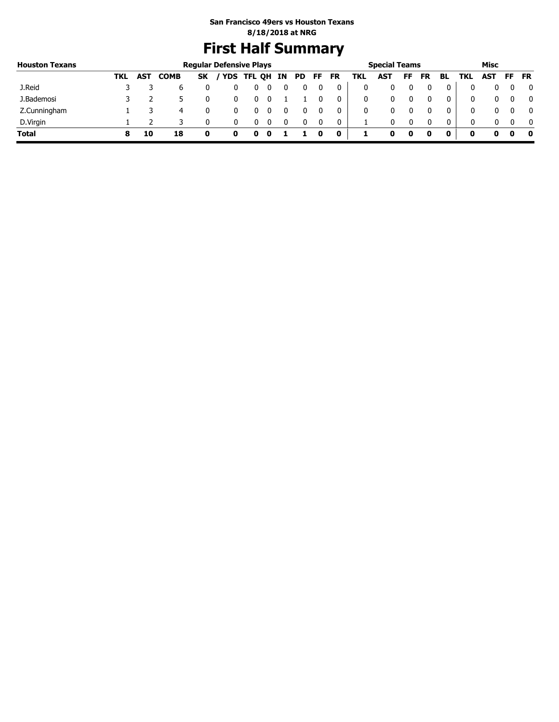# **First Half Summary**

| <b>Houston Texans</b> |     |            |             |           | <b>Regular Defensive Plays</b> |   |   |    |    |           |     | <b>Special Teams</b> |     |    |     |     | Misc |     |           |
|-----------------------|-----|------------|-------------|-----------|--------------------------------|---|---|----|----|-----------|-----|----------------------|-----|----|-----|-----|------|-----|-----------|
|                       | TKL | <b>AST</b> | <b>COMB</b> | <b>SK</b> | / YDS TFL QH IN                |   |   | PD | FF | <b>FR</b> | TKL | AST                  | FF. | FR | BL. | TKL | AST  | FF. | <b>FR</b> |
| J.Reid                |     |            |             |           |                                | υ |   |    |    | 0         | 0   |                      |     |    | 0   |     |      |     | 0         |
| J.Bademosi            |     |            |             |           |                                |   |   |    |    | 0         | 0   |                      |     |    | 0   |     |      |     | - 0       |
| Z.Cunningham          |     |            | 4           |           |                                |   |   |    |    | 0         | 0   |                      |     |    | 0   |     |      |     | - 0       |
| D.Virgin              |     |            |             |           |                                | U |   |    |    | 0         |     |                      |     |    | 0   |     |      |     | - 0       |
| <b>Total</b>          |     | 10         | 18          |           | o                              | o | u |    |    | 0         |     | o                    | 0   |    |     | o   | 0    |     | - 0       |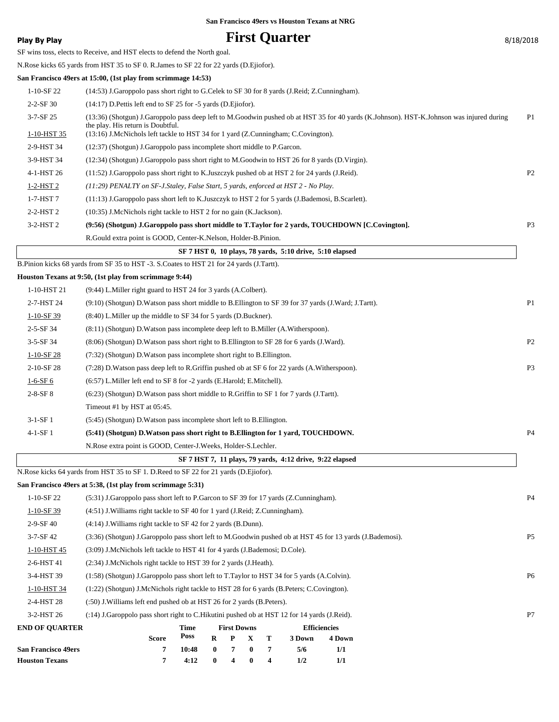# **Play By Play Play Play Play By Play First Quarter 8/18/2018**

 $\Gamma$ 

SF wins toss, elects to Receive, and HST elects to defend the North goal.

N.Rose kicks 65 yards from HST 35 to SF 0. R.James to SF 22 for 22 yards (D.Ejiofor).

### **San Francisco 49ers at 15:00, (1st play from scrimmage 14:53)**

| SF 7 HST 0. 10 plays. 78 vards. 5:10 drive. 5:10 elansed. |  |                                                                                                                                                                               |                |  |  |  |
|-----------------------------------------------------------|--|-------------------------------------------------------------------------------------------------------------------------------------------------------------------------------|----------------|--|--|--|
|                                                           |  | R. Gould extra point is GOOD, Center-K. Nelson, Holder-B. Pinion.                                                                                                             |                |  |  |  |
| $3-2-HST2$                                                |  | (9:56) (Shotgun) J.Garoppolo pass short middle to T.Taylor for 2 yards, TOUCHDOWN [C.Covington].                                                                              | P <sub>3</sub> |  |  |  |
| $2-2-HST2$                                                |  | (10:35) J.McNichols right tackle to HST 2 for no gain (K.Jackson).                                                                                                            |                |  |  |  |
| $1-7-HST$ 7                                               |  | (11:13) J.Garoppolo pass short left to K.Juszczyk to HST 2 for 5 yards (J.Bademosi, B.Scarlett).                                                                              |                |  |  |  |
| $1-2-HST2$                                                |  | $(11.29)$ PENALTY on SF-J.Staley, False Start, 5 yards, enforced at HST 2 - No Play.                                                                                          |                |  |  |  |
| 4-1-HST 26                                                |  | (11:52) J.Garoppolo pass short right to K.Juszczyk pushed ob at HST 2 for 24 yards (J.Reid).                                                                                  | P <sub>2</sub> |  |  |  |
| 3-9-HST 34                                                |  | (12:34) (Shotgun) J.Garoppolo pass short right to M.Goodwin to HST 26 for 8 yards (D.Virgin).                                                                                 |                |  |  |  |
| 2-9-HST 34                                                |  | (12:37) (Shotgun) J.Garoppolo pass incomplete short middle to P.Garcon.                                                                                                       |                |  |  |  |
| 1-10-HST 35                                               |  | (13:16) J.McNichols left tackle to HST 34 for 1 yard (Z.Cunningham; C.Covington).                                                                                             |                |  |  |  |
| $3 - 7 - SF$ 25                                           |  | (13:36) (Shotgun) J.Garoppolo pass deep left to M.Goodwin pushed ob at HST 35 for 40 yards (K.Johnson). HST-K.Johnson was injured during<br>the play. His return is Doubtful. | P1             |  |  |  |
| $2 - 2 - SF$ 30                                           |  | $(14:17)$ D. Pettis left end to SF 25 for -5 yards (D. Ejiofor).                                                                                                              |                |  |  |  |
| $1-10-SF22$                                               |  | (14:53) J.Garoppolo pass short right to G.Celek to SF 30 for 8 yards (J.Reid; Z.Cunningham).                                                                                  |                |  |  |  |
|                                                           |  |                                                                                                                                                                               |                |  |  |  |

|                 | $\mathbf{S}$ $\mathbf{r}$ and $\mathbf{r}$ is the plays, to value, $\mathbf{S}$ ; to differ $\mathbf{S}$ ; to elapsed |                |
|-----------------|-----------------------------------------------------------------------------------------------------------------------|----------------|
|                 | B.Pinion kicks 68 yards from SF 35 to HST -3. S.Coates to HST 21 for 24 yards (J.Tartt).                              |                |
|                 | Houston Texans at 9:50, (1st play from scrimmage 9:44)                                                                |                |
| 1-10-HST 21     | (9:44) L.Miller right guard to HST 24 for 3 yards (A.Colbert).                                                        |                |
| 2-7-HST 24      | (9:10) (Shotgun) D. Watson pass short middle to B. Ellington to SF 39 for 37 yards (J. Ward; J. Tartt).               | P <sub>1</sub> |
| $1-10-SF$ 39    | (8:40) L. Miller up the middle to SF 34 for 5 yards (D. Buckner).                                                     |                |
| $2 - 5 - SF$ 34 | (8.11) (Shotgun) D. Watson pass incomplete deep left to B. Miller (A. Witherspoon).                                   |                |
| $3-5-SF34$      | (8:06) (Shotgun) D. Watson pass short right to B. Ellington to SF 28 for 6 yards (J. Ward).                           | P <sub>2</sub> |
| $1-10-SF28$     | (7:32) (Shotgun) D. Watson pass incomplete short right to B. Ellington.                                               |                |
| 2-10-SF 28      | (7:28) D. Watson pass deep left to R. Griffin pushed ob at SF 6 for 22 yards (A. Witherspoon).                        | P <sub>3</sub> |
| $1-6-SF6$       | (6:57) L. Miller left end to SF 8 for -2 yards (E. Harold; E. Mitchell).                                              |                |
| $2 - 8 - SF 8$  | $(6:23)$ (Shotgun) D. Watson pass short middle to R. Griffin to SF 1 for 7 yards (J. Tartt).                          |                |
|                 | Timeout #1 by HST at 05:45.                                                                                           |                |
| $3-1-SF1$       | (5:45) (Shotgun) D. Watson pass incomplete short left to B. Ellington.                                                |                |
| $4-1-SF1$       | (5:41) (Shotgun) D. Watson pass short right to B. Ellington for 1 yard, TOUCHDOWN.                                    | P <sub>4</sub> |
|                 | N. Rose extra point is GOOD, Center-J. Weeks, Holder-S. Lechler.                                                      |                |
|                 | SF 7 HST 7, 11 plays, 79 yards, 4:12 drive, 9:22 elapsed                                                              |                |
|                 |                                                                                                                       |                |

N.Rose kicks 64 yards from HST 35 to SF 1. D.Reed to SF 22 for 21 yards (D.Ejiofor).

|                            | San Francisco 49ers at 5:38, (1st play from scrimmage 5:31)                                              |                |
|----------------------------|----------------------------------------------------------------------------------------------------------|----------------|
| $1-10-SF22$                | (5:31) J.Garoppolo pass short left to P.Garcon to SF 39 for 17 yards (Z.Cunningham).                     | <b>P4</b>      |
| $1-10-SF$ 39               | (4.51) J. Williams right tackle to SF 40 for 1 yard (J. Reid; Z. Cunningham).                            |                |
| $2-9-SF40$                 | $(4:14)$ J. Williams right tackle to SF 42 for 2 yards (B. Dunn).                                        |                |
| $3 - 7 - SF$ 42            | (3:36) (Shotgun) J.Garoppolo pass short left to M.Goodwin pushed ob at HST 45 for 13 yards (J.Bademosi). | P <sub>5</sub> |
| 1-10-HST 45                | (3:09) J.McNichols left tackle to HST 41 for 4 yards (J.Bademosi; D.Cole).                               |                |
| 2-6-HST 41                 | (2:34) J.McNichols right tackle to HST 39 for 2 yards (J.Heath).                                         |                |
| 3-4-HST 39                 | (1.58) (Shotgun) J.Garoppolo pass short left to T.Taylor to HST 34 for 5 yards (A.Colvin).               | P6             |
| 1-10-HST 34                | $(1:22)$ (Shotgun) J.McNichols right tackle to HST 28 for 6 yards (B.Peters; C.Covington).               |                |
| 2-4-HST 28                 | (:50) J. Williams left end pushed ob at HST 26 for 2 yards (B. Peters).                                  |                |
| 3-2-HST 26                 | (:14) J.Garoppolo pass short right to C.Hikutini pushed ob at HST 12 for 14 yards (J.Reid).              | P7             |
| <b>END OF OUARTER</b>      | <b>Efficiencies</b><br>Time<br><b>First Downs</b>                                                        |                |
|                            | Poss<br><b>Score</b><br>$\bf{R}$<br>Т<br>4 Down<br>P<br>$\mathbf X$<br>3 Down                            |                |
| <b>San Francisco 49ers</b> | 7<br>1/1<br>7<br>10:48<br>$\mathbf{0}$<br>7<br>$\mathbf{0}$<br>5/6                                       |                |

**Houston Texans 7 4:12 0 4 0 4 1/2 1/1**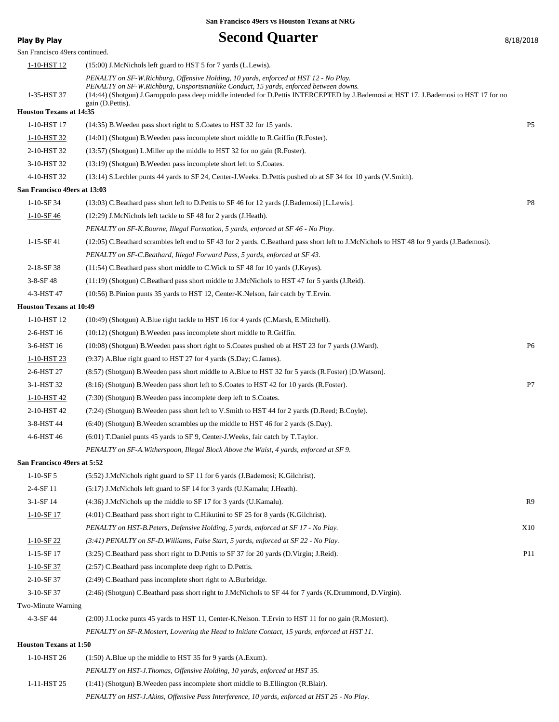# **Play By Play Play Play By Play Second Quarter By Play By Play By Play By 2018**

| San Francisco 49ers continued. |                                                                                                                                                                                                                                                                                                                                            |                 |
|--------------------------------|--------------------------------------------------------------------------------------------------------------------------------------------------------------------------------------------------------------------------------------------------------------------------------------------------------------------------------------------|-----------------|
| 1-10-HST 12                    | (15:00) J.McNichols left guard to HST 5 for 7 yards (L.Lewis).                                                                                                                                                                                                                                                                             |                 |
| 1-35-HST 37                    | PENALTY on SF-W.Richburg, Offensive Holding, 10 yards, enforced at HST 12 - No Play.<br>PENALTY on SF-W.Richburg, Unsportsmanlike Conduct, 15 yards, enforced between downs.<br>(14:44) (Shotgun) J.Garoppolo pass deep middle intended for D.Pettis INTERCEPTED by J.Bademosi at HST 17. J.Bademosi to HST 17 for no<br>gain (D. Pettis). |                 |
| <b>Houston Texans at 14:35</b> |                                                                                                                                                                                                                                                                                                                                            |                 |
| 1-10-HST 17                    | (14:35) B. Weeden pass short right to S. Coates to HST 32 for 15 yards.                                                                                                                                                                                                                                                                    | P <sub>5</sub>  |
| 1-10-HST 32                    | $(14:01)$ (Shotgun) B. Weeden pass incomplete short middle to R. Griffin (R. Foster).                                                                                                                                                                                                                                                      |                 |
| 2-10-HST 32                    | $(13:57)$ (Shotgun) L. Miller up the middle to HST 32 for no gain (R. Foster).                                                                                                                                                                                                                                                             |                 |
| 3-10-HST 32                    | $(13:19)$ (Shotgun) B. Weeden pass incomplete short left to S. Coates.                                                                                                                                                                                                                                                                     |                 |
| 4-10-HST 32                    | (13:14) S.Lechler punts 44 yards to SF 24, Center-J.Weeks. D.Pettis pushed ob at SF 34 for 10 yards (V.Smith).                                                                                                                                                                                                                             |                 |
| San Francisco 49ers at 13:03   |                                                                                                                                                                                                                                                                                                                                            |                 |
| $1-10-SF$ 34                   | (13:03) C.Beathard pass short left to D.Pettis to SF 46 for 12 yards (J.Bademosi) [L.Lewis].                                                                                                                                                                                                                                               | P8              |
| $1 - 10 - SF$ 46               | (12:29) J.McNichols left tackle to SF 48 for 2 yards (J.Heath).                                                                                                                                                                                                                                                                            |                 |
|                                | PENALTY on SF-K.Bourne, Illegal Formation, 5 yards, enforced at SF 46 - No Play.                                                                                                                                                                                                                                                           |                 |
| 1-15-SF 41                     | (12:05) C.Beathard scrambles left end to SF 43 for 2 yards. C.Beathard pass short left to J.McNichols to HST 48 for 9 yards (J.Bademosi).                                                                                                                                                                                                  |                 |
|                                | PENALTY on SF-C.Beathard, Illegal Forward Pass, 5 yards, enforced at SF 43.                                                                                                                                                                                                                                                                |                 |
| 2-18-SF 38                     | (11:54) C.Beathard pass short middle to C.Wick to SF 48 for 10 yards (J.Keyes).                                                                                                                                                                                                                                                            |                 |
| $3-8-SF$ 48                    | (11:19) (Shotgun) C.Beathard pass short middle to J.McNichols to HST 47 for 5 yards (J.Reid).                                                                                                                                                                                                                                              |                 |
| 4-3-HST 47                     | (10:56) B. Pinion punts 35 yards to HST 12, Center-K. Nelson, fair catch by T. Ervin.                                                                                                                                                                                                                                                      |                 |
| <b>Houston Texans at 10:49</b> |                                                                                                                                                                                                                                                                                                                                            |                 |
| 1-10-HST 12                    | (10:49) (Shotgun) A.Blue right tackle to HST 16 for 4 yards (C.Marsh, E.Mitchell).                                                                                                                                                                                                                                                         |                 |
| 2-6-HST 16                     | $(10:12)$ (Shotgun) B. Weeden pass incomplete short middle to R. Griffin.                                                                                                                                                                                                                                                                  |                 |
| 3-6-HST 16                     | (10:08) (Shotgun) B. Weeden pass short right to S. Coates pushed ob at HST 23 for 7 yards (J. Ward).                                                                                                                                                                                                                                       | P6              |
| 1-10-HST 23                    | (9:37) A.Blue right guard to HST 27 for 4 yards (S.Day; C.James).                                                                                                                                                                                                                                                                          |                 |
| 2-6-HST 27                     | (8.57) (Shotgun) B. Weeden pass short middle to A. Blue to HST 32 for 5 yards (R. Foster) [D. Watson].                                                                                                                                                                                                                                     |                 |
| 3-1-HST 32                     | (8:16) (Shotgun) B. Weeden pass short left to S. Coates to HST 42 for 10 yards (R. Foster).                                                                                                                                                                                                                                                | P7              |
| 1-10-HST 42                    | (7:30) (Shotgun) B. Weeden pass incomplete deep left to S. Coates.                                                                                                                                                                                                                                                                         |                 |
| 2-10-HST 42                    | (7:24) (Shotgun) B. Weeden pass short left to V. Smith to HST 44 for 2 yards (D. Reed; B. Coyle).                                                                                                                                                                                                                                          |                 |
| 3-8-HST 44                     | $(6:40)$ (Shotgun) B. Weeden scrambles up the middle to HST 46 for 2 yards (S.Day).                                                                                                                                                                                                                                                        |                 |
| 4-6-HST 46                     | $(6.01)$ T.Daniel punts 45 yards to SF 9, Center-J.Weeks, fair catch by T.Taylor.                                                                                                                                                                                                                                                          |                 |
|                                | PENALTY on SF-A. Witherspoon, Illegal Block Above the Waist, 4 yards, enforced at SF 9.                                                                                                                                                                                                                                                    |                 |
| San Francisco 49ers at 5:52    |                                                                                                                                                                                                                                                                                                                                            |                 |
| $1-10-SF5$                     | (5.52) J.McNichols right guard to SF 11 for 6 yards (J.Bademosi; K.Gilchrist).                                                                                                                                                                                                                                                             |                 |
| $2-4-SF11$                     | (5:17) J.McNichols left guard to SF 14 for 3 yards (U.Kamalu; J.Heath).                                                                                                                                                                                                                                                                    |                 |
| 3-1-SF 14                      | (4:36) J.McNichols up the middle to SF 17 for 3 yards (U.Kamalu).                                                                                                                                                                                                                                                                          | R9              |
| $1-10-SF17$                    | $(4:01)$ C. Beathard pass short right to C. Hikutini to SF 25 for 8 yards (K. Gilchrist).                                                                                                                                                                                                                                                  |                 |
|                                | PENALTY on HST-B.Peters, Defensive Holding, 5 yards, enforced at SF 17 - No Play.                                                                                                                                                                                                                                                          | X10             |
| 1-10-SF 22                     | (3:41) PENALTY on SF-D. Williams, False Start, 5 yards, enforced at SF 22 - No Play.                                                                                                                                                                                                                                                       |                 |
| 1-15-SF 17                     | (3:25) C.Beathard pass short right to D.Pettis to SF 37 for 20 yards (D.Virgin; J.Reid).                                                                                                                                                                                                                                                   | P <sub>11</sub> |
| 1-10-SF 37                     | (2:57) C.Beathard pass incomplete deep right to D.Pettis.                                                                                                                                                                                                                                                                                  |                 |
| 2-10-SF 37                     | (2:49) C.Beathard pass incomplete short right to A.Burbridge.                                                                                                                                                                                                                                                                              |                 |
| 3-10-SF 37                     | (2:46) (Shotgun) C.Beathard pass short right to J.McNichols to SF 44 for 7 yards (K.Drummond, D.Virgin).                                                                                                                                                                                                                                   |                 |
| Two-Minute Warning             |                                                                                                                                                                                                                                                                                                                                            |                 |
| 4-3-SF 44                      | (2:00) J.Locke punts 45 yards to HST 11, Center-K.Nelson. T.Ervin to HST 11 for no gain (R.Mostert).                                                                                                                                                                                                                                       |                 |
|                                | PENALTY on SF-R.Mostert, Lowering the Head to Initiate Contact, 15 yards, enforced at HST 11.                                                                                                                                                                                                                                              |                 |
| <b>Houston Texans at 1:50</b>  |                                                                                                                                                                                                                                                                                                                                            |                 |
| 1-10-HST 26                    | $(1:50)$ A.Blue up the middle to HST 35 for 9 yards $(A.Exum)$ .                                                                                                                                                                                                                                                                           |                 |
|                                | PENALTY on HST-J.Thomas, Offensive Holding, 10 yards, enforced at HST 35.                                                                                                                                                                                                                                                                  |                 |
| 1-11-HST 25                    | $(1:41)$ (Shotgun) B. Weeden pass incomplete short middle to B. Ellington (R. Blair).                                                                                                                                                                                                                                                      |                 |
|                                | PENALTY on HST-J.Akins, Offensive Pass Interference, 10 yards, enforced at HST 25 - No Play.                                                                                                                                                                                                                                               |                 |
|                                |                                                                                                                                                                                                                                                                                                                                            |                 |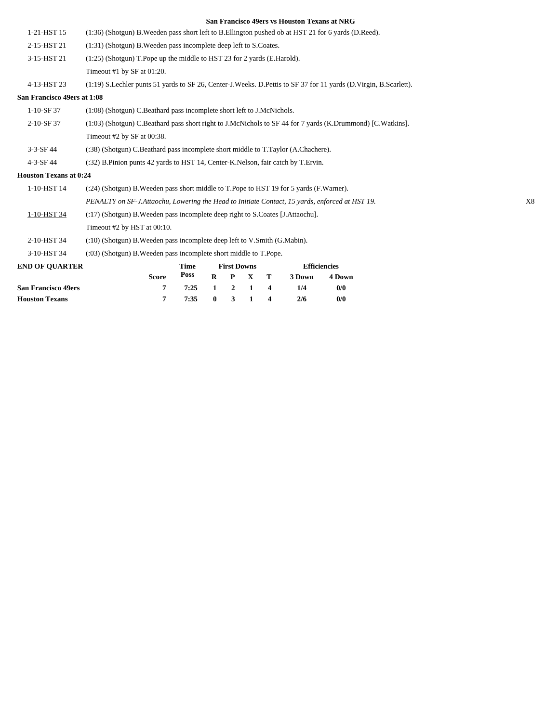| <b>Houston Texans</b>         | 7                                                                                                                | 7:35        | $\bf{0}$     | 3                  | 1           | 4 | 2/6                 | 0/0    |  |    |
|-------------------------------|------------------------------------------------------------------------------------------------------------------|-------------|--------------|--------------------|-------------|---|---------------------|--------|--|----|
| <b>San Francisco 49ers</b>    | 7                                                                                                                | 7:25        | $\mathbf{1}$ | $\overline{2}$     | 1           | 4 | 1/4                 | 0/0    |  |    |
| <b>END OF QUARTER</b>         | <b>Score</b>                                                                                                     | Poss        | $\bf{R}$     | P                  | $\mathbf X$ | т | 3 Down              | 4 Down |  |    |
|                               |                                                                                                                  | <b>Time</b> |              | <b>First Downs</b> |             |   | <b>Efficiencies</b> |        |  |    |
| 3-10-HST 34                   | (:03) (Shotgun) B. Weeden pass incomplete short middle to T. Pope.                                               |             |              |                    |             |   |                     |        |  |    |
| 2-10-HST 34                   | (:10) (Shotgun) B. Weeden pass incomplete deep left to V. Smith (G. Mabin).                                      |             |              |                    |             |   |                     |        |  |    |
|                               | Timeout #2 by HST at 00:10.                                                                                      |             |              |                    |             |   |                     |        |  |    |
| 1-10-HST 34                   | (:17) (Shotgun) B. Weeden pass incomplete deep right to S. Coates [J. Attaochu].                                 |             |              |                    |             |   |                     |        |  |    |
|                               | PENALTY on SF-J.Attaochu, Lowering the Head to Initiate Contact, 15 yards, enforced at HST 19.                   |             |              |                    |             |   |                     |        |  | X8 |
| 1-10-HST 14                   | (:24) (Shotgun) B. Weeden pass short middle to T. Pope to HST 19 for 5 yards (F. Warner).                        |             |              |                    |             |   |                     |        |  |    |
| <b>Houston Texans at 0:24</b> |                                                                                                                  |             |              |                    |             |   |                     |        |  |    |
| 4-3-SF 44                     | (:32) B.Pinion punts 42 yards to HST 14, Center-K.Nelson, fair catch by T.Ervin.                                 |             |              |                    |             |   |                     |        |  |    |
| $3 - 3 - SF$ 44               | (:38) (Shotgun) C.Beathard pass incomplete short middle to T.Taylor (A.Chachere).                                |             |              |                    |             |   |                     |        |  |    |
|                               | Timeout #2 by SF at 00:38.                                                                                       |             |              |                    |             |   |                     |        |  |    |
| 2-10-SF 37                    | (1:03) (Shotgun) C.Beathard pass short right to J.McNichols to SF 44 for 7 yards (K.Drummond) [C.Watkins].       |             |              |                    |             |   |                     |        |  |    |
| $1-10-SF37$                   | (1:08) (Shotgun) C.Beathard pass incomplete short left to J.McNichols.                                           |             |              |                    |             |   |                     |        |  |    |
| San Francisco 49ers at 1:08   |                                                                                                                  |             |              |                    |             |   |                     |        |  |    |
| 4-13-HST 23                   | (1:19) S.Lechler punts 51 yards to SF 26, Center-J.Weeks. D.Pettis to SF 37 for 11 yards (D.Virgin, B.Scarlett). |             |              |                    |             |   |                     |        |  |    |
|                               | Timeout #1 by SF at 01:20.                                                                                       |             |              |                    |             |   |                     |        |  |    |
| 3-15-HST 21                   | (1:25) (Shotgun) T. Pope up the middle to HST 23 for 2 yards (E. Harold).                                        |             |              |                    |             |   |                     |        |  |    |
| 2-15-HST 21                   | (1:31) (Shotgun) B. Weeden pass incomplete deep left to S. Coates.                                               |             |              |                    |             |   |                     |        |  |    |
| 1-21-HST 15                   | (1:36) (Shotgun) B. Weeden pass short left to B. Ellington pushed ob at HST 21 for 6 yards (D. Reed).            |             |              |                    |             |   |                     |        |  |    |
|                               |                                                                                                                  |             |              |                    |             |   |                     |        |  |    |

**Houston Texans 7 7:35 0 3 1 4 2/6 0/0**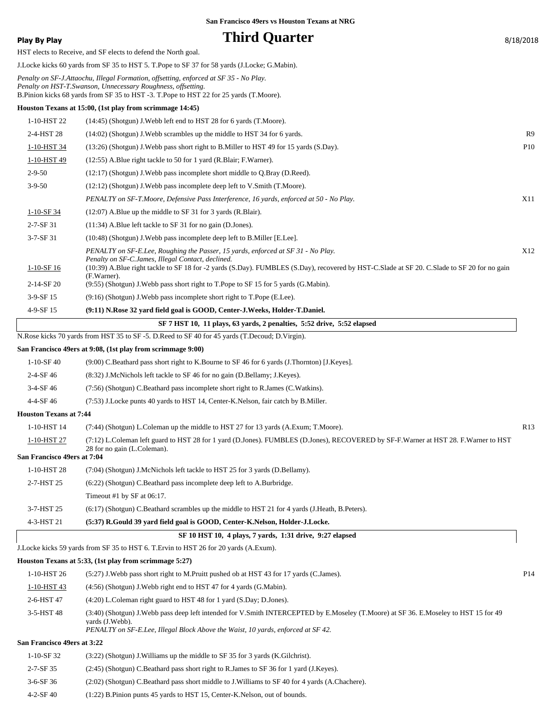**Play By Play Third Quarter** 8/18/2018 HST elects to Receive, and SF elects to defend the North goal. J.Locke kicks 60 yards from SF 35 to HST 5. T.Pope to SF 37 for 58 yards (J.Locke; G.Mabin). *Penalty on SF-J.Attaochu, Illegal Formation, offsetting, enforced at SF 35 - No Play. Penalty on HST-T.Swanson, Unnecessary Roughness, offsetting.* B.Pinion kicks 68 yards from SF 35 to HST -3. T.Pope to HST 22 for 25 yards (T.Moore). **Houston Texans at 15:00, (1st play from scrimmage 14:45)** 1-10-HST 22 (14:45) (Shotgun) J.Webb left end to HST 28 for 6 yards (T.Moore). 2-4-HST 28 (14:02) (Shotgun) J.Webb scrambles up the middle to HST 34 for 6 yards. R9 1-10-HST 34 (13:26) (Shotgun) J.Webb pass short right to B.Miller to HST 49 for 15 yards (S.Day). P10 1-10-HST 49 (12:55) A.Blue right tackle to 50 for 1 yard (R.Blair; F.Warner). 2-9-50 (12:17) (Shotgun) J.Webb pass incomplete short middle to Q.Bray (D.Reed). 3-9-50 (12:12) (Shotgun) J.Webb pass incomplete deep left to V.Smith (T.Moore). *PENALTY on SF-T.Moore, Defensive Pass Interference, 16 yards, enforced at 50 - No Play.* X11 1-10-SF 34 (12:07) A.Blue up the middle to SF 31 for 3 yards (R.Blair). 2-7-SF 31 (11:34) A.Blue left tackle to SF 31 for no gain (D.Jones). 3-7-SF 31 (10:48) (Shotgun) J.Webb pass incomplete deep left to B.Miller [E.Lee]. *PENALTY on SF-E.Lee, Roughing the Passer, 15 yards, enforced at SF 31 - No Play. Penalty on SF-C.James, Illegal Contact, declined.* X12 (10:39) A.Blue right tackle to SF 18 for -2 yards (S.Day). FUMBLES (S.Day), recovered by HST-C.Slade at SF 20. C.Slade to SF 20 for no gain (F.Warner). 1-10-SF 16 2-14-SF 20 (9:55) (Shotgun) J.Webb pass short right to T.Pope to SF 15 for 5 yards (G.Mabin). 3-9-SF 15 (9:16) (Shotgun) J.Webb pass incomplete short right to T.Pope (E.Lee). 4-9-SF 15 **(9:11) N.Rose 32 yard field goal is GOOD, Center-J.Weeks, Holder-T.Daniel. SF 7 HST 10, 11 plays, 63 yards, 2 penalties, 5:52 drive, 5:52 elapsed** N.Rose kicks 70 yards from HST 35 to SF -5. D.Reed to SF 40 for 45 yards (T.Decoud; D.Virgin). **San Francisco 49ers at 9:08, (1st play from scrimmage 9:00)** 1-10-SF 40 (9:00) C.Beathard pass short right to K.Bourne to SF 46 for 6 yards (J.Thornton) [J.Keyes]. 2-4-SF 46 (8:32) J.McNichols left tackle to SF 46 for no gain (D.Bellamy; J.Keyes). 3-4-SF 46 (7:56) (Shotgun) C.Beathard pass incomplete short right to R.James (C.Watkins). 4-4-SF 46 (7:53) J.Locke punts 40 yards to HST 14, Center-K.Nelson, fair catch by B.Miller. **Houston Texans at 7:44** 1-10-HST 14 (7:44) (Shotgun) L.Coleman up the middle to HST 27 for 13 yards (A.Exum; T.Moore). R13 (7:12) L.Coleman left guard to HST 28 for 1 yard (D.Jones). FUMBLES (D.Jones), RECOVERED by SF-F.Warner at HST 28. F.Warner to HST 28 for no gain (L.Coleman). 1-10-HST 27 **San Francisco 49ers at 7:04** 1-10-HST 28 (7:04) (Shotgun) J.McNichols left tackle to HST 25 for 3 yards (D.Bellamy). 2-7-HST 25 (6:22) (Shotgun) C.Beathard pass incomplete deep left to A.Burbridge. Timeout #1 by SF at 06:17. 3-7-HST 25 (6:17) (Shotgun) C.Beathard scrambles up the middle to HST 21 for 4 yards (J.Heath, B.Peters). 4-3-HST 21 **(5:37) R.Gould 39 yard field goal is GOOD, Center-K.Nelson, Holder-J.Locke. SF 10 HST 10, 4 plays, 7 yards, 1:31 drive, 9:27 elapsed** J.Locke kicks 59 yards from SF 35 to HST 6. T.Ervin to HST 26 for 20 yards (A.Exum). **Houston Texans at 5:33, (1st play from scrimmage 5:27)** 1-10-HST 26 (5:27) J.Webb pass short right to M.Pruitt pushed ob at HST 43 for 17 yards (C.James). P14 1-10-HST 43 (4:56) (Shotgun) J.Webb right end to HST 47 for 4 yards (G.Mabin). 2-6-HST 47 (4:20) L.Coleman right guard to HST 48 for 1 yard (S.Day; D.Jones). (3:40) (Shotgun) J.Webb pass deep left intended for V.Smith INTERCEPTED by E.Moseley (T.Moore) at SF 36. E.Moseley to HST 15 for 49 yards (J.Webb). 3-5-HST 48 *PENALTY on SF-E.Lee, Illegal Block Above the Waist, 10 yards, enforced at SF 42.* **San Francisco 49ers at 3:22**

| $1-10-SF$ 32    | $(3:22)$ (Shotgun) J. Williams up the middle to SF 35 for 3 yards (K. Gilchrist).              |
|-----------------|------------------------------------------------------------------------------------------------|
| 2-7-SF 35       | (2.45) (Shotgun) C.Beathard pass short right to R.James to SF 36 for 1 yard (J.Keyes).         |
| $3-6-$ SF 36    | (2.02) (Shotgun) C.Beathard pass short middle to J.Williams to SF 40 for 4 yards (A.Chachere). |
| $4 - 2 - SF 40$ | $(1:22)$ B. Pinion punts 45 yards to HST 15, Center-K. Nelson, out of bounds.                  |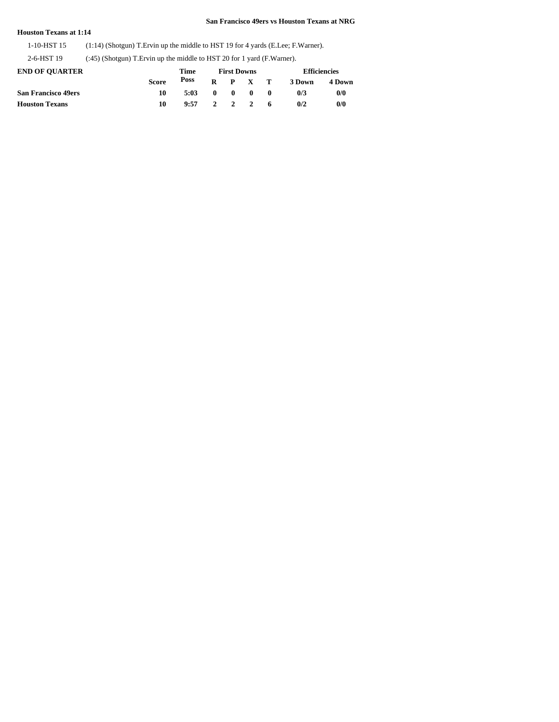## **Houston Texans at 1:14**

1-10-HST 15 (1:14) (Shotgun) T.Ervin up the middle to HST 19 for 4 yards (E.Lee; F.Warner).

2-6-HST 19 (:45) (Shotgun) T.Ervin up the middle to HST 20 for 1 yard (F.Warner).

| <b>END OF OUARTER</b>      |              | Time |              | <b>First Downs</b> |                 |              | <b>Efficiencies</b> |        |  |
|----------------------------|--------------|------|--------------|--------------------|-----------------|--------------|---------------------|--------|--|
|                            | <b>Score</b> | Poss |              |                    | $R$ $P$ $X$ $T$ |              | 3 Down              | 4 Down |  |
| <b>San Francisco 49ers</b> | 10           | 5:03 | $\mathbf{0}$ | $\mathbf{0}$       | $\mathbf{0}$    | $\mathbf{0}$ | 0/3                 | 0/0    |  |
| <b>Houston Texans</b>      | 10           | 9:57 |              |                    | 2 2 2 6         |              | 0/2                 | 0/0    |  |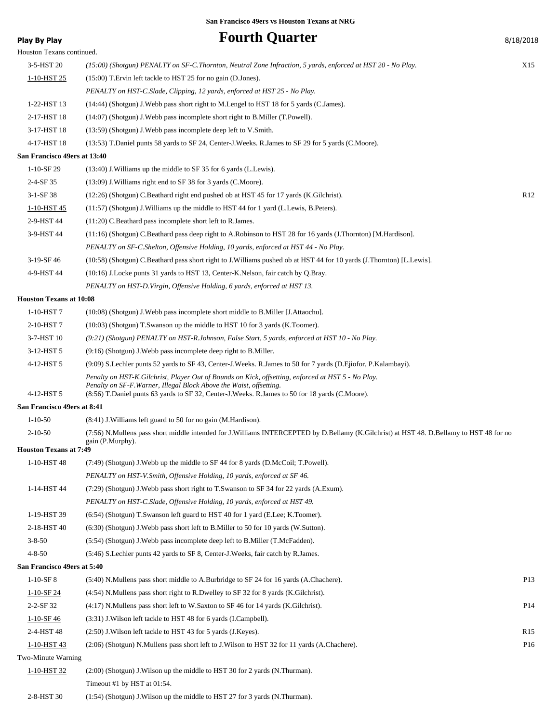Houston Texans continued.

**Play By Play Play Play Play Play Play By Play By Play By Play By Play By Play By Play By Play By Play By Play By Play By Play By Play By Play By Play By Play By Play By Play B** 

| 3-5-HST 20                     | (15:00) (Shotgun) PENALTY on SF-C.Thornton, Neutral Zone Infraction, 5 yards, enforced at HST 20 - No Play.                                                                                                                                                                 | X15             |
|--------------------------------|-----------------------------------------------------------------------------------------------------------------------------------------------------------------------------------------------------------------------------------------------------------------------------|-----------------|
| 1-10-HST 25                    | (15:00) T. Ervin left tackle to HST 25 for no gain (D. Jones).                                                                                                                                                                                                              |                 |
|                                | PENALTY on HST-C.Slade, Clipping, 12 yards, enforced at HST 25 - No Play.                                                                                                                                                                                                   |                 |
| 1-22-HST 13                    | (14:44) (Shotgun) J. Webb pass short right to M. Lengel to HST 18 for 5 yards (C. James).                                                                                                                                                                                   |                 |
| 2-17-HST 18                    | $(14:07)$ (Shotgun) J. Webb pass incomplete short right to B. Miller (T. Powell).                                                                                                                                                                                           |                 |
| 3-17-HST 18                    | $(13:59)$ (Shotgun) J. Webb pass incomplete deep left to V. Smith.                                                                                                                                                                                                          |                 |
| 4-17-HST 18                    | (13:53) T.Daniel punts 58 yards to SF 24, Center-J.Weeks. R.James to SF 29 for 5 yards (C.Moore).                                                                                                                                                                           |                 |
| San Francisco 49ers at 13:40   |                                                                                                                                                                                                                                                                             |                 |
| $1-10-SF$ 29                   | $(13:40)$ J. Williams up the middle to SF 35 for 6 yards (L. Lewis).                                                                                                                                                                                                        |                 |
| 2-4-SF 35                      | (13:09) J. Williams right end to SF 38 for 3 yards (C.Moore).                                                                                                                                                                                                               |                 |
| $3-1-SF38$                     | (12:26) (Shotgun) C.Beathard right end pushed ob at HST 45 for 17 yards (K.Gilchrist).                                                                                                                                                                                      | R12             |
| 1-10-HST 45                    | (11:57) (Shotgun) J. Williams up the middle to HST 44 for 1 yard (L. Lewis, B. Peters).                                                                                                                                                                                     |                 |
| 2-9-HST 44                     | $(11:20)$ C.Beathard pass incomplete short left to R.James.                                                                                                                                                                                                                 |                 |
| 3-9-HST 44                     | (11:16) (Shotgun) C.Beathard pass deep right to A.Robinson to HST 28 for 16 yards (J.Thornton) [M.Hardison].                                                                                                                                                                |                 |
|                                | PENALTY on SF-C.Shelton, Offensive Holding, 10 yards, enforced at HST 44 - No Play.                                                                                                                                                                                         |                 |
| 3-19-SF 46                     | (10:58) (Shotgun) C.Beathard pass short right to J.Williams pushed ob at HST 44 for 10 yards (J.Thornton) [L.Lewis].                                                                                                                                                        |                 |
| 4-9-HST 44                     | (10:16) J.Locke punts 31 yards to HST 13, Center-K.Nelson, fair catch by Q.Bray.                                                                                                                                                                                            |                 |
|                                | PENALTY on HST-D. Virgin, Offensive Holding, 6 yards, enforced at HST 13.                                                                                                                                                                                                   |                 |
| <b>Houston Texans at 10:08</b> |                                                                                                                                                                                                                                                                             |                 |
| 1-10-HST 7                     | (10:08) (Shotgun) J. Webb pass incomplete short middle to B. Miller [J. Attaochu].                                                                                                                                                                                          |                 |
| 2-10-HST7                      | $(10:03)$ (Shotgun) T.Swanson up the middle to HST 10 for 3 yards (K.Toomer).                                                                                                                                                                                               |                 |
| 3-7-HST 10                     | (9:21) (Shotgun) PENALTY on HST-R.Johnson, False Start, 5 yards, enforced at HST 10 - No Play.                                                                                                                                                                              |                 |
| 3-12-HST 5                     | $(9:16)$ (Shotgun) J. Webb pass incomplete deep right to B. Miller.                                                                                                                                                                                                         |                 |
| 4-12-HST 5                     | (9:09) S.Lechler punts 52 yards to SF 43, Center-J.Weeks. R.James to 50 for 7 yards (D.Ejiofor, P.Kalambayi).                                                                                                                                                               |                 |
| 4-12-HST 5                     | Penalty on HST-K.Gilchrist, Player Out of Bounds on Kick, offsetting, enforced at HST 5 - No Play.<br>Penalty on SF-F. Warner, Illegal Block Above the Waist, offsetting.<br>(8:56) T.Daniel punts 63 yards to SF 32, Center-J.Weeks. R.James to 50 for 18 yards (C.Moore). |                 |
| San Francisco 49ers at 8:41    |                                                                                                                                                                                                                                                                             |                 |
| $1 - 10 - 50$                  | (8:41) J. Williams left guard to 50 for no gain (M. Hardison).                                                                                                                                                                                                              |                 |
| $2 - 10 - 50$                  | (7:56) N.Mullens pass short middle intended for J.Williams INTERCEPTED by D.Bellamy (K.Gilchrist) at HST 48. D.Bellamy to HST 48 for no                                                                                                                                     |                 |
| <b>Houston Texans at 7:49</b>  | gain (P.Murphy).                                                                                                                                                                                                                                                            |                 |
| 1-10-HST 48                    | (7:49) (Shotgun) J. Webb up the middle to SF 44 for 8 yards (D. McCoil; T. Powell).                                                                                                                                                                                         |                 |
|                                | PENALTY on HST-V.Smith, Offensive Holding, 10 yards, enforced at SF 46.                                                                                                                                                                                                     |                 |
| 1-14-HST 44                    | (7:29) (Shotgun) J. Webb pass short right to T. Swanson to SF 34 for 22 yards (A. Exum).                                                                                                                                                                                    |                 |
|                                | PENALTY on HST-C.Slade, Offensive Holding, 10 yards, enforced at HST 49.                                                                                                                                                                                                    |                 |
| 1-19-HST 39                    | (6:54) (Shotgun) T.Swanson left guard to HST 40 for 1 yard (E.Lee; K.Toomer).                                                                                                                                                                                               |                 |
| 2-18-HST 40                    | (6.30) (Shotgun) J. Webb pass short left to B. Miller to 50 for 10 yards (W. Sutton).                                                                                                                                                                                       |                 |
| $3 - 8 - 50$                   | (5:54) (Shotgun) J. Webb pass incomplete deep left to B. Miller (T. McFadden).                                                                                                                                                                                              |                 |
| $4 - 8 - 50$                   | (5:46) S. Lechler punts 42 yards to SF 8, Center-J. Weeks, fair catch by R. James.                                                                                                                                                                                          |                 |
| San Francisco 49ers at 5:40    |                                                                                                                                                                                                                                                                             |                 |
| $1-10-SF8$                     | (5:40) N.Mullens pass short middle to A.Burbridge to SF 24 for 16 yards (A.Chachere).                                                                                                                                                                                       | P <sub>13</sub> |
| $1-10-SF$ 24                   | $(4:54)$ N.Mullens pass short right to R.Dwelley to SF 32 for 8 yards (K.Gilchrist).                                                                                                                                                                                        |                 |
| 2-2-SF 32                      | $(4:17)$ N.Mullens pass short left to W.Saxton to SF 46 for 14 yards (K.Gilchrist).                                                                                                                                                                                         | P <sub>14</sub> |
| $1-10-SF46$                    | (3:31) J. Wilson left tackle to HST 48 for 6 yards (I. Campbell).                                                                                                                                                                                                           |                 |
| 2-4-HST 48                     | (2:50) J. Wilson left tackle to HST 43 for 5 yards (J. Keyes).                                                                                                                                                                                                              | R15             |
| 1-10-HST 43                    | (2:06) (Shotgun) N.Mullens pass short left to J.Wilson to HST 32 for 11 yards (A.Chachere).                                                                                                                                                                                 | P <sub>16</sub> |
| Two-Minute Warning             |                                                                                                                                                                                                                                                                             |                 |
| 1-10-HST 32                    | $(2.00)$ (Shotgun) J. Wilson up the middle to HST 30 for 2 yards (N. Thurman).                                                                                                                                                                                              |                 |
|                                | Timeout #1 by HST at 01:54.                                                                                                                                                                                                                                                 |                 |
| 2-8-HST 30                     | (1:54) (Shotgun) J. Wilson up the middle to HST 27 for 3 yards (N. Thurman).                                                                                                                                                                                                |                 |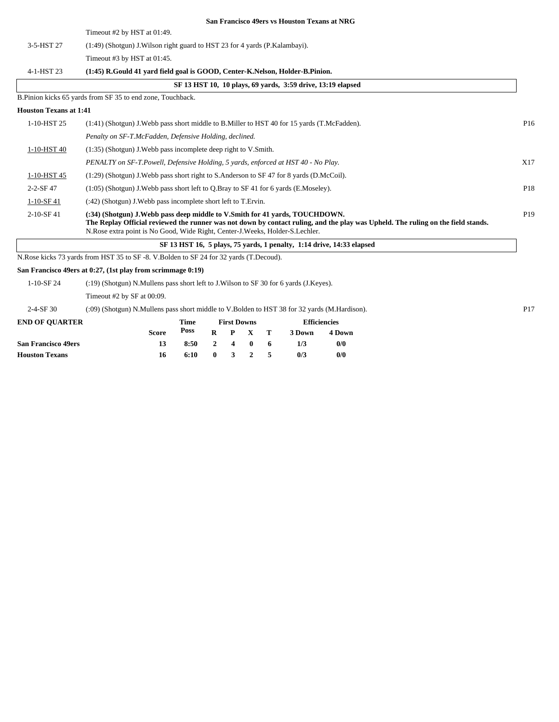Timeout #2 by HST at 01:49.

|                               | Timeout #2 by HST at 01:49.                                                                                                                                                                                                                                                                          |                 |
|-------------------------------|------------------------------------------------------------------------------------------------------------------------------------------------------------------------------------------------------------------------------------------------------------------------------------------------------|-----------------|
| 3-5-HST 27                    | $(1:49)$ (Shotgun) J. Wilson right guard to HST 23 for 4 yards (P. Kalambayi).                                                                                                                                                                                                                       |                 |
|                               | Timeout #3 by HST at $01:45$ .                                                                                                                                                                                                                                                                       |                 |
| 4-1-HST 23                    | (1:45) R.Gould 41 yard field goal is GOOD, Center-K.Nelson, Holder-B.Pinion.                                                                                                                                                                                                                         |                 |
|                               | SF 13 HST 10, 10 plays, 69 yards, 3:59 drive, 13:19 elapsed                                                                                                                                                                                                                                          |                 |
|                               | B. Pinion kicks 65 yards from SF 35 to end zone, Touchback.                                                                                                                                                                                                                                          |                 |
| <b>Houston Texans at 1:41</b> |                                                                                                                                                                                                                                                                                                      |                 |
| 1-10-HST 25                   | (1:41) (Shotgun) J. Webb pass short middle to B. Miller to HST 40 for 15 yards (T. McFadden).                                                                                                                                                                                                        | P <sub>16</sub> |
|                               | Penalty on SF-T.McFadden, Defensive Holding, declined.                                                                                                                                                                                                                                               |                 |
| 1-10-HST 40                   | $(1:35)$ (Shotgun) J. Webb pass incomplete deep right to V. Smith.                                                                                                                                                                                                                                   |                 |
|                               | PENALTY on SF-T.Powell, Defensive Holding, 5 yards, enforced at HST 40 - No Play.                                                                                                                                                                                                                    | X17             |
| 1-10-HST 45                   | $(1:29)$ (Shotgun) J. Webb pass short right to S. Anderson to SF 47 for 8 yards (D. McCoil).                                                                                                                                                                                                         |                 |
| $2 - 2 - SF$ 47               | $(1:05)$ (Shotgun) J. Webb pass short left to Q. Bray to SF 41 for 6 yards (E. Moseley).                                                                                                                                                                                                             | P18             |
| $1-10-SF41$                   | (:42) (Shotgun) J. Webb pass incomplete short left to T. Ervin.                                                                                                                                                                                                                                      |                 |
| $2-10-$ SF 41                 | (:34) (Shotgun) J. Webb pass deep middle to V. Smith for 41 yards, TOUCHDOWN.<br>The Replay Official reviewed the runner was not down by contact ruling, and the play was Upheld. The ruling on the field stands.<br>N. Rose extra point is No Good, Wide Right, Center-J. Weeks, Holder-S. Lechler. | P <sub>19</sub> |

 **SF 13 HST 16, 5 plays, 75 yards, 1 penalty, 1:14 drive, 14:33 elapsed**

N.Rose kicks 73 yards from HST 35 to SF -8. V.Bolden to SF 24 for 32 yards (T.Decoud).

## **San Francisco 49ers at 0:27, (1st play from scrimmage 0:19)**

1-10-SF 24 (:19) (Shotgun) N.Mullens pass short left to J.Wilson to SF 30 for 6 yards (J.Keyes).

Timeout #2 by SF at 00:09.

2-4-SF 30 (:09) (Shotgun) N.Mullens pass short middle to V.Bolden to HST 38 for 32 yards (M.Hardison). P17

| <b>END OF OUARTER</b>      |       | Time |         | <b>First Downs</b> |                 |        | <b>Efficiencies</b> |
|----------------------------|-------|------|---------|--------------------|-----------------|--------|---------------------|
|                            | Score | Poss |         |                    | R P X T         | 3 Down | 4 Down              |
| <b>San Francisco 49ers</b> | 13    | 8:50 | 2 4 0 6 |                    |                 | 1/3    | 0/0                 |
| <b>Houston Texans</b>      | 16    | 6:10 |         |                    | $0 \t3 \t2 \t5$ | 0/3    | 0/0                 |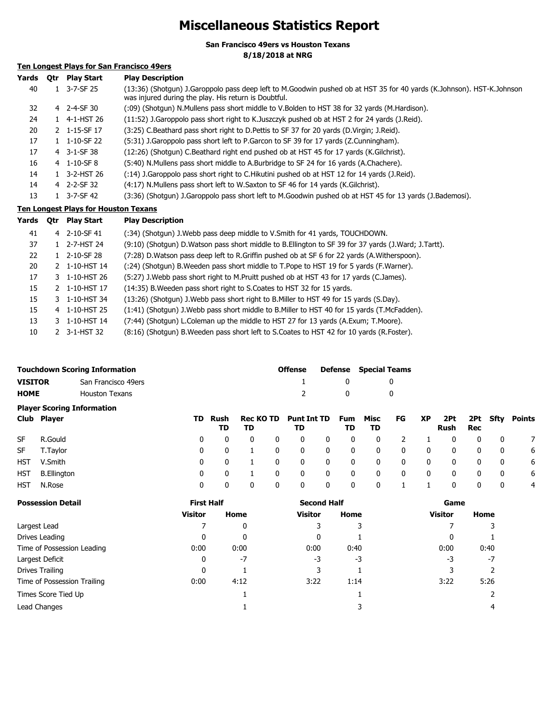# **Miscellaneous Statistics Report**

**San Francisco 49ers vs Houston Texans**

**8/18/2018 at NRG**

## **Ten Longest Plays for San Francisco 49ers**

| Yards     | 0tr | <b>Play Start</b>                    | <b>Play Description</b>                                                                                                                                                       |
|-----------|-----|--------------------------------------|-------------------------------------------------------------------------------------------------------------------------------------------------------------------------------|
| 40        |     | $1 \quad 3-7-SF25$                   | (13:36) (Shotgun) J.Garoppolo pass deep left to M.Goodwin pushed ob at HST 35 for 40 yards (K.Johnson). HST-K.Johnson<br>was injured during the play. His return is Doubtful. |
| 32        |     | 4 2-4-SF 30                          | (09) (Shotgun) N.Mullens pass short middle to V.Bolden to HST 38 for 32 yards (M.Hardison).                                                                                   |
| 24        |     | 1 4-1-HST 26                         | (11:52) J.Garoppolo pass short right to K.Juszczyk pushed ob at HST 2 for 24 yards (J.Reid).                                                                                  |
| 20        |     | 2 1-15-SF 17                         | (3:25) C.Beathard pass short right to D.Pettis to SF 37 for 20 yards (D.Virgin; J.Reid).                                                                                      |
| 17        |     | $1 \quad 1 - 10 - SF$ 22             | (5:31) J. Garoppolo pass short left to P. Garcon to SF 39 for 17 yards (Z. Cunningham).                                                                                       |
| 17        |     | 4 3-1-SF 38                          | (12:26) (Shotgun) C.Beathard right end pushed ob at HST 45 for 17 yards (K.Gilchrist).                                                                                        |
| 16        |     | 4 1-10-SF8                           | (5:40) N.Mullens pass short middle to A.Burbridge to SF 24 for 16 yards (A.Chachere).                                                                                         |
| 14        |     | 1 3-2-HST 26                         | (14) J.Garoppolo pass short right to C.Hikutini pushed ob at HST 12 for 14 yards (J.Reid).                                                                                    |
| 14        |     | 4 2-2-SF 32                          | (4:17) N.Mullens pass short left to W.Saxton to SF 46 for 14 yards (K.Gilchrist).                                                                                             |
| 13        |     | $1 \quad 3-7-SF 42$                  | (3:36) (Shotgun) J.Garoppolo pass short left to M.Goodwin pushed ob at HST 45 for 13 yards (J.Bademosi).                                                                      |
|           |     | Ten Longest Plays for Houston Texans |                                                                                                                                                                               |
| Yards Otr |     | Play Start                           | <b>Play Description</b>                                                                                                                                                       |
|           |     |                                      |                                                                                                                                                                               |

| Yards | 0tr | Play Start    | <b>Play Description</b>                                                                                 |
|-------|-----|---------------|---------------------------------------------------------------------------------------------------------|
| 41    |     | 4 2-10-SF 41  | (:34) (Shotqun) J. Webb pass deep middle to V. Smith for 41 yards, TOUCHDOWN.                           |
| 37    |     | 1 2-7-HST 24  | (9:10) (Shotgun) D. Watson pass short middle to B. Ellington to SF 39 for 37 yards (J. Ward; J. Tartt). |
| 22    |     | 1 2-10-SF 28  | (7:28) D. Watson pass deep left to R. Griffin pushed ob at SF 6 for 22 yards (A. Witherspoon).          |
| 20    |     | 2 1-10-HST 14 | (:24) (Shotgun) B. Weeden pass short middle to T. Pope to HST 19 for 5 yards (F. Warner).               |
| 17    |     | 3 1-10-HST 26 | (5:27) J. Webb pass short right to M. Pruitt pushed ob at HST 43 for 17 yards (C. James).               |
| 15    |     | 2 1-10-HST 17 | (14:35) B. Weeden pass short right to S. Coates to HST 32 for 15 yards.                                 |
| 15    | 3.  | 1-10-HST 34   | (13:26) (Shotgun) J. Webb pass short right to B. Miller to HST 49 for 15 yards (S. Day).                |
| 15    |     | 4 1-10-HST 25 | (1:41) (Shotqun) J. Webb pass short middle to B. Miller to HST 40 for 15 yards (T. McFadden).           |
| 13    |     | 1-10-HST 14   | (7:44) (Shotgun) L.Coleman up the middle to HST 27 for 13 yards (A.Exum; T.Moore).                      |
| 10    |     | 2 3-1-HST 32  | (8:16) (Shotgun) B. Weeden pass short left to S. Coates to HST 42 for 10 yards (R. Foster).             |

|                                   | <b>Touchdown Scoring Information</b> | Offense |            | <b>Defense</b> Special Teams |  |  |  |  |
|-----------------------------------|--------------------------------------|---------|------------|------------------------------|--|--|--|--|
| <b>VISITOR</b>                    | San Francisco 49ers                  |         | $^{\circ}$ |                              |  |  |  |  |
| <b>HOME</b>                       | Houston Texans                       |         | $\Omega$   |                              |  |  |  |  |
| <b>Plaver Scoring Information</b> |                                      |         |            |                              |  |  |  |  |

|           | Club Player     |                         | TD Rush<br>TD           | TD             |                         | Rec KO TD Punt Int TD Fum Misc FG XP<br>TD |                         | TD.                     | TD.                     |                         |              | Rush Rec       |                         |                         | 2Pt 2Pt Sfty Points |
|-----------|-----------------|-------------------------|-------------------------|----------------|-------------------------|--------------------------------------------|-------------------------|-------------------------|-------------------------|-------------------------|--------------|----------------|-------------------------|-------------------------|---------------------|
| <b>SF</b> | R.Gould         | $\overline{0}$          | $\mathbf{0}$            | $\overline{0}$ | - 0                     | $\mathbf 0$                                | $\overline{\mathbf{0}}$ | - 0                     | $\overline{\mathbf{0}}$ | - 2                     |              | $\mathbf{0}$   | - 0                     | $\overline{\mathbf{0}}$ |                     |
|           | SF T.Taylor     | $\overline{0}$          | $\overline{\mathbf{0}}$ |                | $\overline{\mathbf{0}}$ | $\overline{\mathbf{0}}$                    | $\overline{\mathbf{0}}$ | $\overline{\mathbf{0}}$ | $\overline{\mathbf{0}}$ | $\overline{\mathbf{0}}$ | $\mathbf{0}$ | $\mathbf{0}$   | $\overline{\mathbf{0}}$ | $\overline{\mathbf{0}}$ | 6                   |
|           | HST V.Smith     | $\Omega$                | 0                       |                | $\overline{\mathbf{0}}$ | $\mathbf 0$                                | $\overline{\mathbf{0}}$ | $\overline{\mathbf{0}}$ | $\mathbf{0}$            | $\overline{\mathbf{0}}$ | $\mathbf{0}$ | $\mathbf{0}$   | - 0                     | $\overline{\mathbf{0}}$ | - 6                 |
|           | HST B.Ellington | $\overline{\mathbf{0}}$ | $\overline{\mathbf{0}}$ |                | - 0                     | $\mathbf 0$                                | $\overline{\mathbf{0}}$ | $\mathbf{0}$            | $\mathbf{0}$            | $\overline{\mathbf{0}}$ | $\mathbf{0}$ | $\mathbf{0}$   | - 0                     | $\overline{\mathbf{0}}$ | - 6                 |
| HST       | N.Rose          | $\mathbf{0}$            | $\mathbf{0}$            | $\overline{0}$ | 0                       | $\overline{\mathbf{0}}$                    | $\overline{0}$          | $\overline{\mathbf{0}}$ | $\overline{\mathbf{0}}$ | $1 \quad 1$             |              | $\overline{0}$ | $\overline{\mathbf{0}}$ | $\overline{\mathbf{0}}$ | $\overline{4}$      |
|           |                 |                         |                         |                |                         |                                            |                         |                         |                         |                         |              |                |                         |                         |                     |

| <b>Possession Detail</b>    | <b>First Half</b> |      | <b>Second Half</b> |      | Game           |      |  |  |
|-----------------------------|-------------------|------|--------------------|------|----------------|------|--|--|
|                             | <b>Visitor</b>    | Home | Visitor            | Home | <b>Visitor</b> | Home |  |  |
| Largest Lead                |                   | 0    |                    |      |                |      |  |  |
| Drives Leading              | 0                 | 0    |                    |      |                |      |  |  |
| Time of Possession Leading  | 0:00              | 0:00 | 0:00               | 0:40 | 0:00           | 0:40 |  |  |
| Largest Deficit             | 0                 | $-7$ | -3                 | $-3$ | -3             | $-7$ |  |  |
| Drives Trailing             | $\mathbf{0}$      |      |                    |      |                |      |  |  |
| Time of Possession Trailing | 0:00              | 4:12 | 3:22               | 1:14 | 3:22           | 5:26 |  |  |
| Times Score Tied Up         |                   |      |                    |      |                |      |  |  |
| Lead Changes                |                   |      |                    |      |                | 4    |  |  |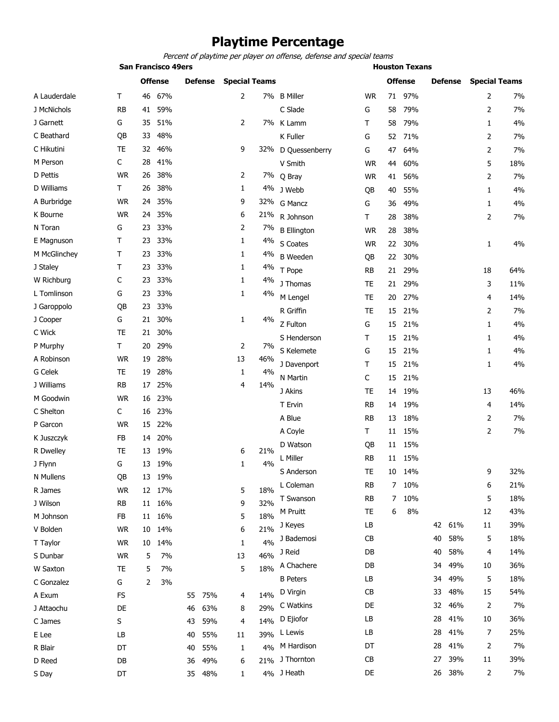## **Playtime Percentage**

**San Francisco 49ers Houston Texans** *Percent of playtime per player on offense, defense and special teams*

|              |             | <b>Offense</b> |        | <b>Defense</b> |        | <b>Special Teams</b> |     |                    |           |    | <b>Offense</b> |    | <b>Defense</b> | <b>Special Teams</b> |     |  |
|--------------|-------------|----------------|--------|----------------|--------|----------------------|-----|--------------------|-----------|----|----------------|----|----------------|----------------------|-----|--|
| A Lauderdale | $\mathsf T$ | 46             | 67%    |                |        | $\overline{2}$       |     | 7% B Miller        | <b>WR</b> | 71 | 97%            |    |                | 2                    | 7%  |  |
| J McNichols  | RB          | 41             | 59%    |                |        |                      |     | C Slade            | G         | 58 | 79%            |    |                | 2                    | 7%  |  |
| J Garnett    | G           | 35             | 51%    |                |        | 2                    |     | 7% K Lamm          | т         | 58 | 79%            |    |                | 1                    | 4%  |  |
| C Beathard   | QB          | 33             | 48%    |                |        |                      |     | K Fuller           | G         | 52 | 71%            |    |                | 2                    | 7%  |  |
| C Hikutini   | TE          | 32             | 46%    |                |        | 9                    | 32% | D Quessenberry     | G         | 47 | 64%            |    |                | 2                    | 7%  |  |
| M Person     | C           | 28             | 41%    |                |        |                      |     | V Smith            | <b>WR</b> | 44 | 60%            |    |                | 5                    | 18% |  |
| D Pettis     | <b>WR</b>   | 26             | 38%    |                |        | 2                    |     | 7% Q Bray          | <b>WR</b> | 41 | 56%            |    |                | 2                    | 7%  |  |
| D Williams   | Τ           | 26             | 38%    |                |        | 1                    |     | 4% J Webb          | QB        | 40 | 55%            |    |                | 1                    | 4%  |  |
| A Burbridge  | <b>WR</b>   | 24             | 35%    |                |        | 9                    |     | 32% G Mancz        | G         | 36 | 49%            |    |                | 1                    | 4%  |  |
| K Bourne     | <b>WR</b>   | 24             | 35%    |                |        | 6                    | 21% | R Johnson          | т         | 28 | 38%            |    |                | 2                    | 7%  |  |
| N Toran      | G           | 23             | 33%    |                |        | 2                    | 7%  | <b>B</b> Ellington | <b>WR</b> | 28 | 38%            |    |                |                      |     |  |
| E Magnuson   | т           | 23             | 33%    |                |        | 1                    | 4%  | S Coates           | <b>WR</b> | 22 | 30%            |    |                | 1                    | 4%  |  |
| M McGlinchey | Τ           | 23             | 33%    |                |        | 1                    | 4%  | <b>B</b> Weeden    | QB        | 22 | 30%            |    |                |                      |     |  |
| J Staley     | т           | 23             | 33%    |                |        | 1                    | 4%  | T Pope             | RB        | 21 | 29%            |    |                | 18                   | 64% |  |
| W Richburg   | C           | 23             | 33%    |                |        | 1                    | 4%  | J Thomas           | TE        | 21 | 29%            |    |                | 3                    | 11% |  |
| L Tomlinson  | G           | 23             | 33%    |                |        | 1                    | 4%  | M Lengel           | TE        | 20 | 27%            |    |                | 4                    | 14% |  |
| J Garoppolo  | QB          | 23             | 33%    |                |        |                      |     | R Griffin          | <b>TE</b> | 15 | 21%            |    |                | 2                    | 7%  |  |
| J Cooper     | G           | 21             | 30%    |                |        | 1                    | 4%  | Z Fulton           | G         | 15 | 21%            |    |                | 1                    | 4%  |  |
| C Wick       | <b>TE</b>   | 21             | 30%    |                |        |                      |     | S Henderson        | т         | 15 | 21%            |    |                | 1                    | 4%  |  |
| P Murphy     | $\mathsf T$ | 20             | 29%    |                |        | 2                    | 7%  | S Kelemete         | G         | 15 | 21%            |    |                | 1                    | 4%  |  |
| A Robinson   | <b>WR</b>   | 19             | 28%    |                |        | 13                   | 46% | J Davenport        | т         | 15 | 21%            |    |                | $\mathbf{1}$         | 4%  |  |
| G Celek      | TE          | 19             | 28%    |                |        | 1                    | 4%  | N Martin           | C         | 15 | 21%            |    |                |                      |     |  |
| J Williams   | <b>RB</b>   | 17             | 25%    |                |        | 4                    | 14% | J Akins            | TE        | 14 | 19%            |    |                | 13                   | 46% |  |
| M Goodwin    | <b>WR</b>   | 16             | 23%    |                |        |                      |     | T Ervin            | RB        | 14 | 19%            |    |                | 4                    | 14% |  |
| C Shelton    | C           | 16             | 23%    |                |        |                      |     |                    |           |    |                |    |                |                      |     |  |
| P Garcon     | <b>WR</b>   | 15             | 22%    |                |        |                      |     | A Blue             | RB        | 13 | 18%            |    |                | 2                    | 7%  |  |
| K Juszczyk   | FB          | 14             | 20%    |                |        |                      |     | A Coyle            | Τ         | 11 | 15%            |    |                | 2                    | 7%  |  |
| R Dwelley    | TE          | 13             | 19%    |                |        | 6                    | 21% | D Watson           | QB        | 11 | 15%            |    |                |                      |     |  |
| J Flynn      | G           | 13             | 19%    |                |        | 1                    | 4%  | L Miller           | RB        | 11 | 15%            |    |                |                      |     |  |
| N Mullens    | QB          | 13             | 19%    |                |        |                      |     | S Anderson         | TE        | 10 | 14%            |    |                | 9                    | 32% |  |
| R James      | <b>WR</b>   | 12             | 17%    |                |        | 5                    | 18% | L Coleman          | <b>RB</b> | 7  | 10%            |    |                | 6                    | 21% |  |
| J Wilson     | <b>RB</b>   | 11             | 16%    |                |        | 9                    | 32% | T Swanson          | <b>RB</b> | 7  | 10%            |    |                | 5                    | 18% |  |
| M Johnson    | FB          |                | 11 16% |                |        | 5                    | 18% | M Pruitt           | TE        | 6  | 8%             |    |                | 12                   | 43% |  |
| V Bolden     | <b>WR</b>   | 10             | 14%    |                |        | 6                    | 21% | J Keyes            | LB        |    |                | 42 | 61%            | 11                   | 39% |  |
| T Taylor     | <b>WR</b>   | 10             | 14%    |                |        | 1                    | 4%  | J Bademosi         | <b>CB</b> |    |                | 40 | 58%            | 5                    | 18% |  |
| S Dunbar     | <b>WR</b>   | 5              | 7%     |                |        | 13                   | 46% | J Reid             | DB        |    |                | 40 | 58%            | 4                    | 14% |  |
| W Saxton     | TE          | 5              | 7%     |                |        | 5                    | 18% | A Chachere         | DB        |    |                | 34 | 49%            | 10                   | 36% |  |
| C Gonzalez   | G           | 2              | 3%     |                |        |                      |     | <b>B</b> Peters    | LB        |    |                | 34 | 49%            | 5                    | 18% |  |
| A Exum       | FS          |                |        | 55             | 75%    | 4                    | 14% | D Virgin           | <b>CB</b> |    |                | 33 | 48%            | 15                   | 54% |  |
| J Attaochu   | DE          |                |        | 46             | 63%    | 8                    | 29% | C Watkins          | DE        |    |                | 32 | 46%            | 2                    | 7%  |  |
| C James      | S           |                |        | 43             | 59%    | 4                    | 14% | D Ejiofor          | LB        |    |                | 28 | 41%            | 10                   | 36% |  |
| E Lee        | LB          |                |        | 40             | 55%    | 11                   | 39% | L Lewis            | LB        |    |                | 28 | 41%            | 7                    | 25% |  |
| R Blair      | DT          |                |        | 40             | 55%    | 1                    | 4%  | M Hardison         | DT        |    |                | 28 | 41%            | 2                    | 7%  |  |
| D Reed       | DB          |                |        | 36             | 49%    | 6                    | 21% | J Thornton         | CB        |    |                | 27 | 39%            | 11                   | 39% |  |
| S Day        | DT          |                |        |                | 35 48% | $\mathbf{1}$         |     | 4% J Heath         | DE        |    |                | 26 | 38%            | 2                    | 7%  |  |